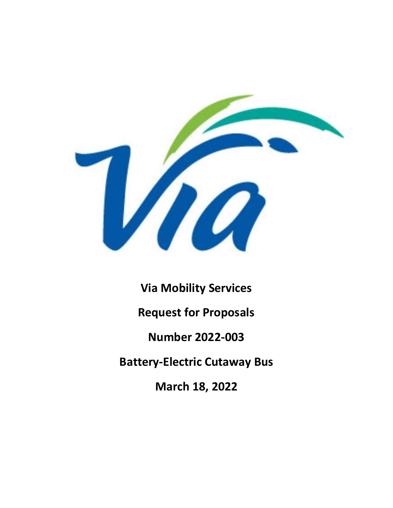

**Via Mobility Services Request for Proposals Number 2022-003 Battery-Electric Cutaway Bus March 18, 2022**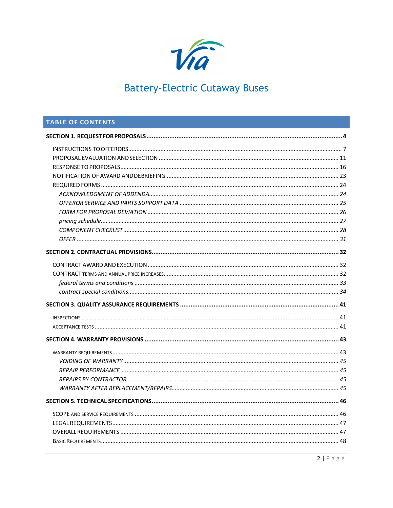

## TABLE OF CONTENTS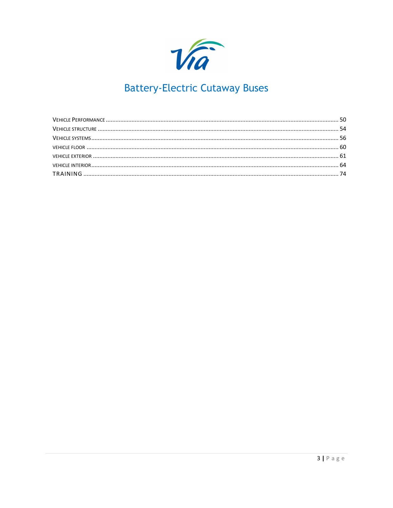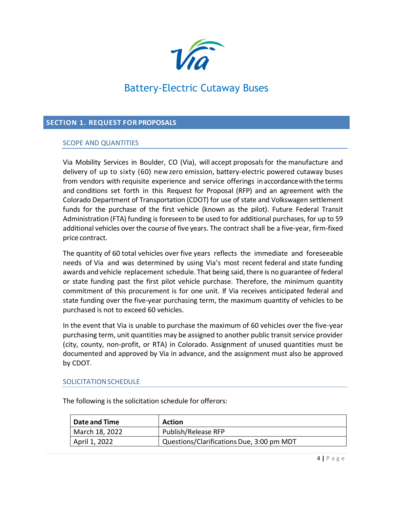

### <span id="page-3-0"></span>**SECTION 1. REQUEST FOR PROPOSALS**

### SCOPE AND QUANTITIES

Via Mobility Services in Boulder, CO (Via), will accept proposalsfor the manufacture and delivery of up to sixty (60) new zero emission, battery-electric powered cutaway buses from vendors with requisite experience and service offerings in accordancewiththe terms and conditions set forth in this Request for Proposal (RFP) and an agreement with the Colorado Department of Transportation (CDOT) for use of state and Volkswagen settlement funds for the purchase of the first vehicle (known as the pilot). Future Federal Transit Administration (FTA) funding is foreseen to be used to for additional purchases, for up to 59 additional vehicles over the course of five years. The contract shall be a five-year, firm-fixed price contract.

The quantity of 60 total vehicles over five years reflects the immediate and foreseeable needs of Via and was determined by using Via's most recent federal and state funding awards and vehicle replacement schedule. That being said, there is no guarantee of federal or state funding past the first pilot vehicle purchase. Therefore, the minimum quantity commitment of this procurement is for one unit. If Via receives anticipated federal and state funding over the five-year purchasing term, the maximum quantity of vehicles to be purchased is not to exceed 60 vehicles.

In the event that Via is unable to purchase the maximum of 60 vehicles over the five-year purchasing term, unit quantities may be assigned to another public transit service provider (city, county, non-profit, or RTA) in Colorado. Assignment of unused quantities must be documented and approved by Via in advance, and the assignment must also be approved by CDOT.

### SOLICITATIONSCHEDULE

| <b>Date and Time</b> | <b>Action</b>                             |
|----------------------|-------------------------------------------|
| March 18, 2022       | Publish/Release RFP                       |
| April 1, 2022        | Questions/Clarifications Due, 3:00 pm MDT |

The following is the solicitation schedule for offerors: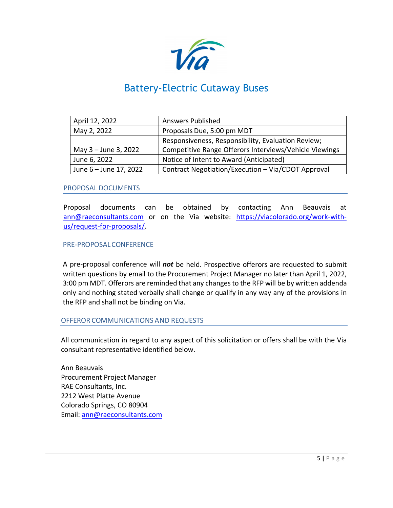

| April 12, 2022         | <b>Answers Published</b>                               |  |
|------------------------|--------------------------------------------------------|--|
| May 2, 2022            | Proposals Due, 5:00 pm MDT                             |  |
|                        | Responsiveness, Responsibility, Evaluation Review;     |  |
| May 3 - June 3, 2022   | Competitive Range Offerors Interviews/Vehicle Viewings |  |
| June 6, 2022           | Notice of Intent to Award (Anticipated)                |  |
| June 6 - June 17, 2022 | Contract Negotiation/Execution - Via/CDOT Approval     |  |

### PROPOSAL DOCUMENTS

Proposal documents can be obtained by contacting Ann Beauvais at [ann@raeconsultants.com](mailto:ann@raeconsultants.com) or on the Via website: [https://viacolorado.org/work-with](https://viacolorado.org/work-with-us/request-for-proposals/)[us/request-for-proposals/.](https://viacolorado.org/work-with-us/request-for-proposals/)

### PRE-PROPOSALCONFERENCE

A pre-proposal conference will *not* be held. Prospective offerors are requested to submit written questions by email to the Procurement Project Manager no later than April 1, 2022, 3:00 pm MDT. Offerors are reminded that any changes to the RFP will be by written addenda only and nothing stated verbally shall change or qualify in any way any of the provisions in the RFP and shall not be binding on Via.

### OFFEROR COMMUNICATIONS AND REQUESTS

All communication in regard to any aspect of this solicitation or offers shall be with the Via consultant representative identified below.

Ann Beauvais Procurement Project Manager RAE Consultants, Inc. 2212 West Platte Avenue Colorado Springs, CO 80904 Email: [ann@raeconsultants.com](mailto:ann@raeconsultants.com)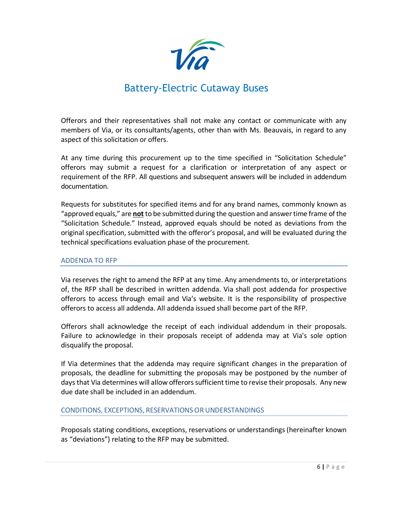

Offerors and their representatives shall not make any contact or communicate with any members of Via, or its consultants/agents, other than with Ms. Beauvais, in regard to any aspect of this solicitation or offers.

At any time during this procurement up to the time specified in "Solicitation Schedule" offerors may submit a request for a clarification or interpretation of any aspect or requirement of the RFP. All questions and subsequent answers will be included in addendum documentation.

Requests for substitutes for specified items and for any brand names, commonly known as "approved equals," are **not** to be submitted during the question and answer time frame of the "Solicitation Schedule." Instead, approved equals should be noted as deviations from the original specification, submitted with the offeror's proposal, and will be evaluated during the technical specifications evaluation phase of the procurement.

### ADDENDA TO RFP

Via reserves the right to amend the RFP at any time. Any amendments to, or interpretations of, the RFP shall be described in written addenda. Via shall post addenda for prospective offerors to access through email and Via's website. It is the responsibility of prospective offerors to access all addenda. All addenda issued shall become part of the RFP.

Offerors shall acknowledge the receipt of each individual addendum in their proposals. Failure to acknowledge in their proposals receipt of addenda may at Via's sole option disqualify the proposal.

If Via determines that the addenda may require significant changes in the preparation of proposals, the deadline for submitting the proposals may be postponed by the number of days that Via determines will allow offerors sufficient time to revise their proposals. Any new due date shall be included in an addendum.

### CONDITIONS, EXCEPTIONS, RESERVATIONS ORUNDERSTANDINGS

Proposals stating conditions, exceptions, reservations or understandings (hereinafter known as "deviations") relating to the RFP may be submitted.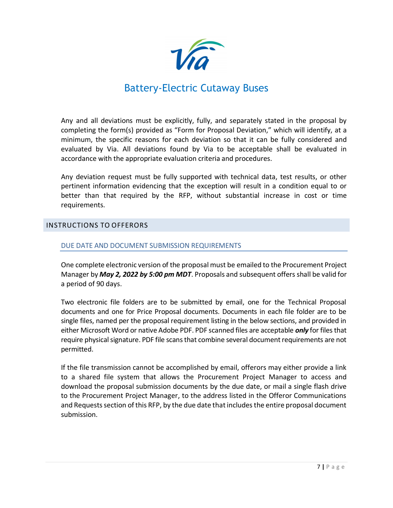

Any and all deviations must be explicitly, fully, and separately stated in the proposal by completing the form(s) provided as "Form for Proposal Deviation," which will identify, at a minimum, the specific reasons for each deviation so that it can be fully considered and evaluated by Via. All deviations found by Via to be acceptable shall be evaluated in accordance with the appropriate evaluation criteria and procedures.

Any deviation request must be fully supported with technical data, test results, or other pertinent information evidencing that the exception will result in a condition equal to or better than that required by the RFP, without substantial increase in cost or time requirements.

### <span id="page-6-0"></span>INSTRUCTIONS TO OFFERORS

### DUE DATE AND DOCUMENT SUBMISSION REQUIREMENTS

One complete electronic version of the proposal must be emailed to the Procurement Project Manager by *May 2, 2022 by 5:00 pm MDT*. Proposals and subsequent offers shall be valid for a period of 90 days.

Two electronic file folders are to be submitted by email, one for the Technical Proposal documents and one for Price Proposal documents. Documents in each file folder are to be single files, named per the proposal requirement listing in the below sections, and provided in either Microsoft Word or native Adobe PDF. PDF scanned files are acceptable *only* for files that require physical signature. PDF file scans that combine several document requirements are not permitted.

If the file transmission cannot be accomplished by email, offerors may either provide a link to a shared file system that allows the Procurement Project Manager to access and download the proposal submission documents by the due date, or mail a single flash drive to the Procurement Project Manager, to the address listed in the Offeror Communications and Requests section of this RFP, by the due date that includes the entire proposal document submission.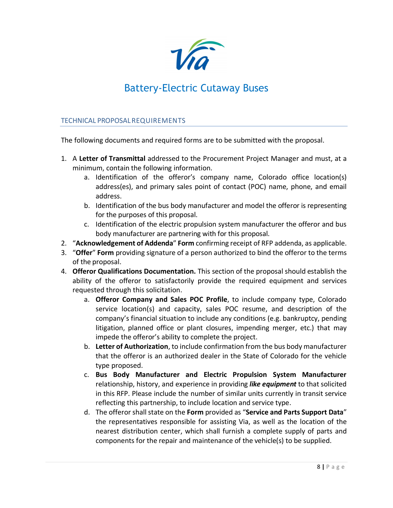

### TECHNICAL PROPOSALREQUIREMENTS

The following documents and required forms are to be submitted with the proposal.

- 1. A **Letter of Transmittal** addressed to the Procurement Project Manager and must, at a minimum, contain the following information.
	- a. Identification of the offeror's company name, Colorado office location(s) address(es), and primary sales point of contact (POC) name, phone, and email address.
	- b. Identification of the bus body manufacturer and model the offeror is representing for the purposes of this proposal.
	- c. Identification of the electric propulsion system manufacturer the offeror and bus body manufacturer are partnering with for this proposal.
- 2. "**Acknowledgement of Addenda**" **Form** confirming receipt of RFP addenda, as applicable.
- 3. "**Offer**" **Form** providing signature of a person authorized to bind the offeror to the terms of the proposal.
- 4. **Offeror Qualifications Documentation.** This section of the proposal should establish the ability of the offeror to satisfactorily provide the required equipment and services requested through this solicitation.
	- a. **Offeror Company and Sales POC Profile**, to include company type, Colorado service location(s) and capacity, sales POC resume, and description of the company's financial situation to include any conditions (e.g. bankruptcy, pending litigation, planned office or plant closures, impending merger, etc.) that may impede the offeror's ability to complete the project.
	- b. **Letter of Authorization**, to include confirmation from the bus body manufacturer that the offeror is an authorized dealer in the State of Colorado for the vehicle type proposed.
	- c. **Bus Body Manufacturer and Electric Propulsion System Manufacturer** relationship, history, and experience in providing *like equipment* to that solicited in this RFP. Please include the number of similar units currently in transit service reflecting this partnership, to include location and service type.
	- d. The offeror shallstate on the **Form** provided as "**Service and Parts Support Data**" the representatives responsible for assisting Via, as well as the location of the nearest distribution center, which shall furnish a complete supply of parts and components for the repair and maintenance of the vehicle(s) to be supplied.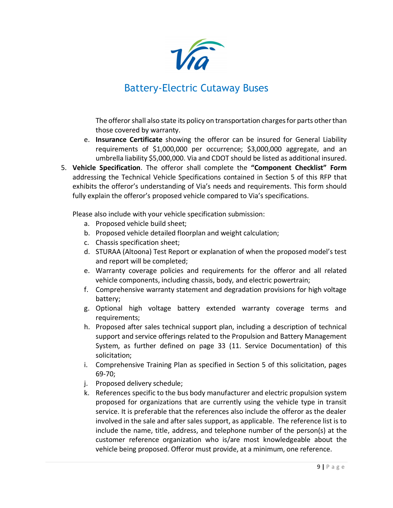

The offeror shall also state its policy on transportation charges for parts other than those covered by warranty.

- e. **Insurance Certificate** showing the offeror can be insured for General Liability requirements of \$1,000,000 per occurrence; \$3,000,000 aggregate, and an umbrella liability \$5,000,000. Via and CDOT should be listed as additional insured.
- 5. **Vehicle Specification**. The offeror shall complete the **"Component Checklist" Form** addressing the Technical Vehicle Specifications contained in Section 5 of this RFP that exhibits the offeror's understanding of Via's needs and requirements. This form should fully explain the offeror's proposed vehicle compared to Via's specifications.

Please also include with your vehicle specification submission:

- a. Proposed vehicle build sheet;
- b. Proposed vehicle detailed floorplan and weight calculation;
- c. Chassis specification sheet;
- d. STURAA (Altoona) Test Report or explanation of when the proposed model's test and report will be completed;
- e. Warranty coverage policies and requirements for the offeror and all related vehicle components, including chassis, body, and electric powertrain;
- f. Comprehensive warranty statement and degradation provisions for high voltage battery;
- g. Optional high voltage battery extended warranty coverage terms and requirements;
- h. Proposed after sales technical support plan, including a description of technical support and service offerings related to the Propulsion and Battery Management System, as further defined on page 33 (11. Service Documentation) of this solicitation;
- i. Comprehensive Training Plan as specified in Section 5 of this solicitation, pages 69-70;
- j. Proposed delivery schedule;
- k. References specific to the bus body manufacturer and electric propulsion system proposed for organizations that are currently using the vehicle type in transit service. It is preferable that the references also include the offeror as the dealer involved in the sale and after sales support, as applicable. The reference list is to include the name, title, address, and telephone number of the person(s) at the customer reference organization who is/are most knowledgeable about the vehicle being proposed. Offeror must provide, at a minimum, one reference.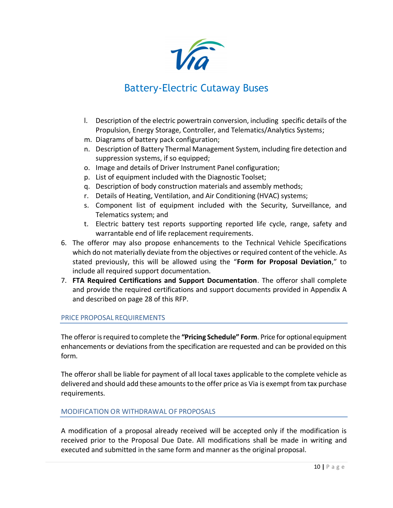

- l. Description of the electric powertrain conversion, including specific details of the Propulsion, Energy Storage, Controller, and Telematics/Analytics Systems;
- m. Diagrams of battery pack configuration;
- n. Description of Battery Thermal Management System, including fire detection and suppression systems, if so equipped;
- o. Image and details of Driver Instrument Panel configuration;
- p. List of equipment included with the Diagnostic Toolset;
- q. Description of body construction materials and assembly methods;
- r. Details of Heating, Ventilation, and Air Conditioning (HVAC) systems;
- s. Component list of equipment included with the Security, Surveillance, and Telematics system; and
- t. Electric battery test reports supporting reported life cycle, range, safety and warrantable end of life replacement requirements.
- 6. The offeror may also propose enhancements to the Technical Vehicle Specifications which do not materially deviate from the objectives or required content of the vehicle. As stated previously, this will be allowed using the "**Form for Proposal Deviation**," to include all required support documentation.
- 7. **FTA Required Certifications and Support Documentation**. The offeror shall complete and provide the required certifications and support documents provided in Appendix A and described on page 28 of this RFP.

### PRICE PROPOSAL REQUIREMENTS

The offeror isrequired to complete the **"Pricing Schedule" Form**. Price for optional equipment enhancements or deviations from the specification are requested and can be provided on this form.

The offeror shall be liable for payment of all local taxes applicable to the complete vehicle as delivered and should add these amounts to the offer price as Via is exempt from tax purchase requirements.

### MODIFICATION OR WITHDRAWAL OF PROPOSALS

A modification of a proposal already received will be accepted only if the modification is received prior to the Proposal Due Date. All modifications shall be made in writing and executed and submitted in the same form and manner as the original proposal.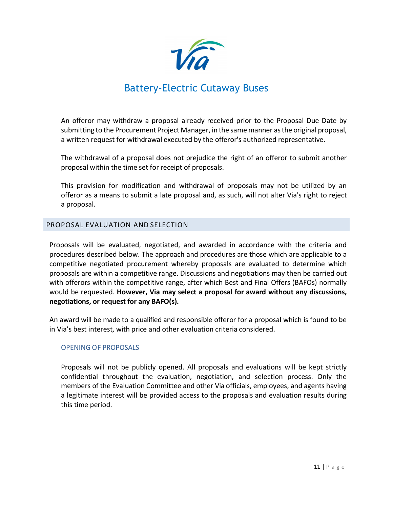

An offeror may withdraw a proposal already received prior to the Proposal Due Date by submitting to the Procurement Project Manager, in the same manner asthe original proposal, a written request for withdrawal executed by the offeror's authorized representative.

The withdrawal of a proposal does not prejudice the right of an offeror to submit another proposal within the time set for receipt of proposals.

This provision for modification and withdrawal of proposals may not be utilized by an offeror as a means to submit a late proposal and, as such, will not alter Via's right to reject a proposal.

### <span id="page-10-0"></span>PROPOSAL EVALUATION AND SELECTION

Proposals will be evaluated, negotiated, and awarded in accordance with the criteria and procedures described below. The approach and procedures are those which are applicable to a competitive negotiated procurement whereby proposals are evaluated to determine which proposals are within a competitive range. Discussions and negotiations may then be carried out with offerors within the competitive range, after which Best and Final Offers (BAFOs) normally would be requested. **However, Via may select a proposal for award without any discussions, negotiations, or request for any BAFO(s).**

An award will be made to a qualified and responsible offeror for a proposal which is found to be in Via's best interest, with price and other evaluation criteria considered.

### OPENING OF PROPOSALS

Proposals will not be publicly opened. All proposals and evaluations will be kept strictly confidential throughout the evaluation, negotiation, and selection process. Only the members of the Evaluation Committee and other Via officials, employees, and agents having a legitimate interest will be provided access to the proposals and evaluation results during this time period.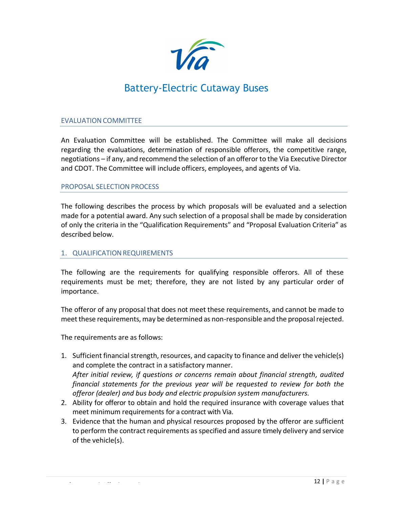

### EVALUATION COMMITTEE

An Evaluation Committee will be established. The Committee will make all decisions regarding the evaluations, determination of responsible offerors, the competitive range, negotiations – if any, and recommend the selection of an offeror to the Via Executive Director and CDOT. The Committee will include officers, employees, and agents of Via.

### PROPOSAL SELECTION PROCESS

The following describes the process by which proposals will be evaluated and a selection made for a potential award. Any such selection of a proposal shall be made by consideration of only the criteria in the "Qualification Requirements" and "Proposal Evaluation Criteria" as described below.

### 1. QUALIFICATION REQUIREMENTS

The following are the requirements for qualifying responsible offerors. All of these requirements must be met; therefore, they are not listed by any particular order of importance.

The offeror of any proposal that does not meet these requirements, and cannot be made to meet these requirements, may be determined as non-responsible and the proposal rejected.

The requirements are as follows:

- 1. Sufficient financial strength, resources, and capacity to finance and deliver the vehicle(s) and complete the contract in a satisfactory manner. *After initial review, if questions or concerns remain about financial strength, audited financial statements for the previous year will be requested to review for both the offeror (dealer) and bus body and electric propulsion system manufacturers.*
- 2. Ability for offeror to obtain and hold the required insurance with coverage values that meet minimum requirements for a contract with Via.
- 3. Evidence that the human and physical resources proposed by the offeror are sufficient to perform the contract requirements as specified and assure timely delivery and service of the vehicle(s).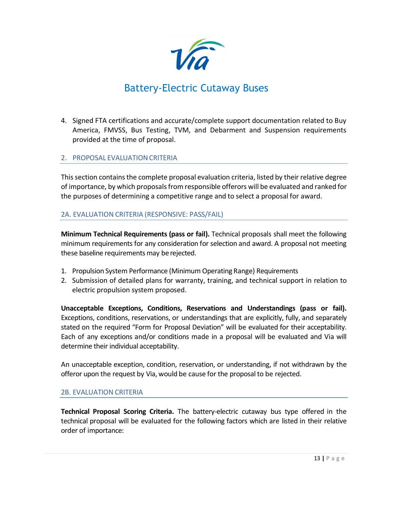

4. Signed FTA certifications and accurate/complete support documentation related to Buy America, FMVSS, Bus Testing, TVM, and Debarment and Suspension requirements provided at the time of proposal.

### 2. PROPOSAL EVALUATIONCRITERIA

Thissection containsthe complete proposal evaluation criteria, listed by their relative degree of importance, by which proposals from responsible offerors will be evaluated and ranked for the purposes of determining a competitive range and to select a proposal for award.

### 2A. EVALUATION CRITERIA (RESPONSIVE: PASS/FAIL)

**Minimum Technical Requirements (pass or fail).** Technical proposals shall meet the following minimum requirementsfor any consideration for selection and award. A proposal not meeting these baseline requirements may be rejected.

- 1. Propulsion System Performance (Minimum Operating Range) Requirements
- 2. Submission of detailed plans for warranty, training, and technical support in relation to electric propulsion system proposed.

**Unacceptable Exceptions, Conditions, Reservations and Understandings (pass or fail).** Exceptions, conditions, reservations, or understandings that are explicitly, fully, and separately stated on the required "Form for Proposal Deviation" will be evaluated for their acceptability. Each of any exceptions and/or conditions made in a proposal will be evaluated and Via will determine their individual acceptability.

An unacceptable exception, condition, reservation, or understanding, if not withdrawn by the offeror upon the request by Via, would be cause for the proposal to be rejected.

### 2B. EVALUATION CRITERIA

**Technical Proposal Scoring Criteria.** The battery-electric cutaway bus type offered in the technical proposal will be evaluated for the following factors which are listed in their relative order of importance: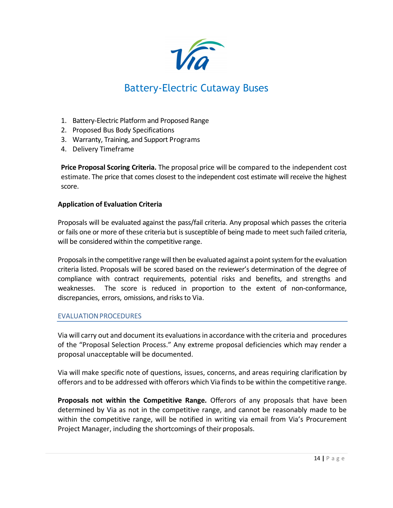

- 1. Battery-Electric Platform and Proposed Range
- 2. Proposed Bus Body Specifications
- 3. Warranty, Training, and Support Programs
- 4. Delivery Timeframe

**Price Proposal Scoring Criteria.** The proposal price will be compared to the independent cost estimate. The price that comes closest to the independent cost estimate will receive the highest score.

### **Application of Evaluation Criteria**

Proposals will be evaluated against the pass/fail criteria. Any proposal which passes the criteria or fails one or more of these criteria but is susceptible of being made to meet such failed criteria, will be considered within the competitive range.

Proposals in the competitive range will then be evaluated against a point systemfor the evaluation criteria listed. Proposals will be scored based on the reviewer's determination of the degree of compliance with contract requirements, potential risks and benefits, and strengths and weaknesses. The score is reduced in proportion to the extent of non-conformance, discrepancies, errors, omissions, and risks to Via.

### EVALUATIONPROCEDURES

Via will carry out and document its evaluationsin accordance with the criteria and procedures of the "Proposal Selection Process." Any extreme proposal deficiencies which may render a proposal unacceptable will be documented.

Via will make specific note of questions, issues, concerns, and areas requiring clarification by offerors and to be addressed with offerors which Via finds to be within the competitive range.

**Proposals not within the Competitive Range.** Offerors of any proposals that have been determined by Via as not in the competitive range, and cannot be reasonably made to be within the competitive range, will be notified in writing via email from Via's Procurement Project Manager, including the shortcomings of their proposals.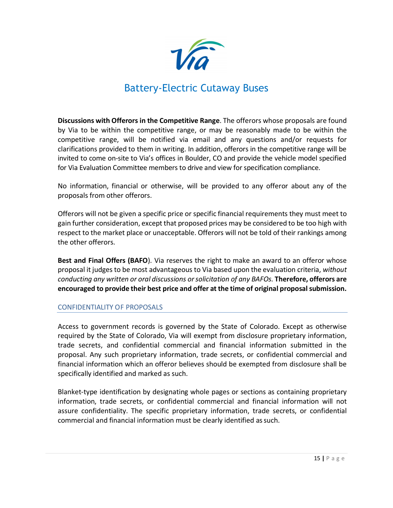

**Discussions with Offerors in the Competitive Range**. The offerors whose proposals are found by Via to be within the competitive range, or may be reasonably made to be within the competitive range, will be notified via email and any questions and/or requests for clarifications provided to them in writing. In addition, offerors in the competitive range will be invited to come on-site to Via's offices in Boulder, CO and provide the vehicle model specified for Via Evaluation Committee members to drive and view for specification compliance.

No information, financial or otherwise, will be provided to any offeror about any of the proposals from other offerors.

Offerors will not be given a specific price or specific financial requirements they must meet to gain further consideration, except that proposed prices may be considered to be too high with respect to the market place or unacceptable. Offerors will not be told of their rankings among the other offerors.

**Best and Final Offers (BAFO**). Via reserves the right to make an award to an offeror whose proposal it judges to be most advantageous to Via based upon the evaluation criteria, *without conducting any written or oral discussions orsolicitation of any BAFOs.* **Therefore, offerors are encouraged to provide their best price and offer at the time of original proposal submission.**

### CONFIDENTIALITY OF PROPOSALS

Access to government records is governed by the State of Colorado. Except as otherwise required by the State of Colorado, Via will exempt from disclosure proprietary information, trade secrets, and confidential commercial and financial information submitted in the proposal. Any such proprietary information, trade secrets, or confidential commercial and financial information which an offeror believes should be exempted from disclosure shall be specifically identified and marked as such.

Blanket-type identification by designating whole pages or sections as containing proprietary information, trade secrets, or confidential commercial and financial information will not assure confidentiality. The specific proprietary information, trade secrets, or confidential commercial and financial information must be clearly identified as such.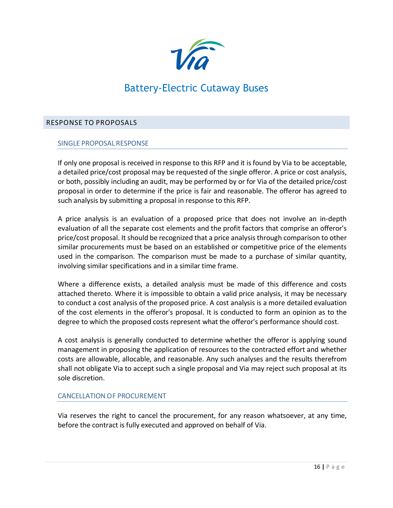

### <span id="page-15-0"></span>RESPONSE TO PROPOSALS

### SINGLE PROPOSAL RESPONSE

If only one proposal is received in response to this RFP and it isfound by Via to be acceptable, a detailed price/cost proposal may be requested of the single offeror. A price or cost analysis, or both, possibly including an audit, may be performed by or for Via of the detailed price/cost proposal in order to determine if the price is fair and reasonable. The offeror has agreed to such analysis by submitting a proposal in response to this RFP.

A price analysis is an evaluation of a proposed price that does not involve an in-depth evaluation of all the separate cost elements and the profit factors that comprise an offeror's price/cost proposal. It should be recognized that a price analysisthrough comparison to other similar procurements must be based on an established or competitive price of the elements used in the comparison. The comparison must be made to a purchase of similar quantity, involving similar specifications and in a similar time frame.

Where a difference exists, a detailed analysis must be made of this difference and costs attached thereto. Where it is impossible to obtain a valid price analysis, it may be necessary to conduct a cost analysis of the proposed price. A cost analysis is a more detailed evaluation of the cost elements in the offeror's proposal. It is conducted to form an opinion as to the degree to which the proposed costs represent what the offeror's performance should cost.

A cost analysis is generally conducted to determine whether the offeror is applying sound management in proposing the application of resources to the contracted effort and whether costs are allowable, allocable, and reasonable. Any such analyses and the results therefrom shall not obligate Via to accept such a single proposal and Via may reject such proposal at its sole discretion.

### CANCELLATION OF PROCUREMENT

Via reserves the right to cancel the procurement, for any reason whatsoever, at any time, before the contract is fully executed and approved on behalf of Via.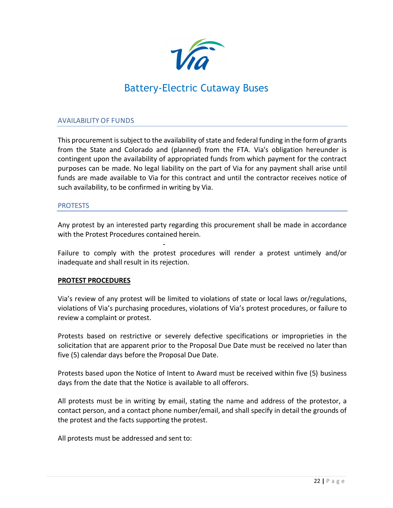

### AVAILABILITY OF FUNDS

This procurement is subject to the availability of state and federal funding in the form of grants from the State and Colorado and (planned) from the FTA. Via's obligation hereunder is contingent upon the availability of appropriated funds from which payment for the contract purposes can be made. No legal liability on the part of Via for any payment shall arise until funds are made available to Via for this contract and until the contractor receives notice of such availability, to be confirmed in writing by Via.

### **PROTESTS**

Any protest by an interested party regarding this procurement shall be made in accordance with the Protest Procedures contained herein.

Failure to comply with the protest procedures will render a protest untimely and/or inadequate and shall result in its rejection.

### **PROTEST PROCEDURES**

Via's review of any protest will be limited to violations of state or local laws or/regulations, violations of Via's purchasing procedures, violations of Via's protest procedures, or failure to review a complaint or protest.

Protests based on restrictive or severely defective specifications or improprieties in the solicitation that are apparent prior to the Proposal Due Date must be received no later than five (5) calendar days before the Proposal Due Date.

Protests based upon the Notice of Intent to Award must be received within five (5) business days from the date that the Notice is available to all offerors.

All protests must be in writing by email, stating the name and address of the protestor, a contact person, and a contact phone number/email, and shall specify in detail the grounds of the protest and the facts supporting the protest.

All protests must be addressed and sent to: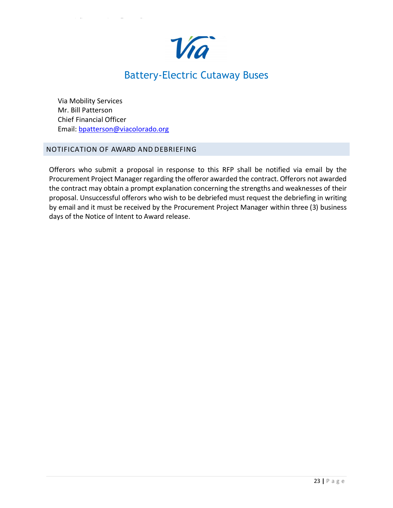

Via Mobility Services Mr. Bill Patterson Chief Financial Officer Email: [bpatterson@viacolorado.org](mailto:bpatterson@viacolorado.org)

### <span id="page-17-0"></span>NOTIFICATION OF AWARD AND DEBRIEFING

Offerors who submit a proposal in response to this RFP shall be notified via email by the Procurement Project Manager regarding the offeror awarded the contract. Offerors not awarded the contract may obtain a prompt explanation concerning the strengths and weaknesses of their proposal. Unsuccessful offerors who wish to be debriefed must request the debriefing in writing by email and it must be received by the Procurement Project Manager within three (3) business days of the Notice of Intent to Award release.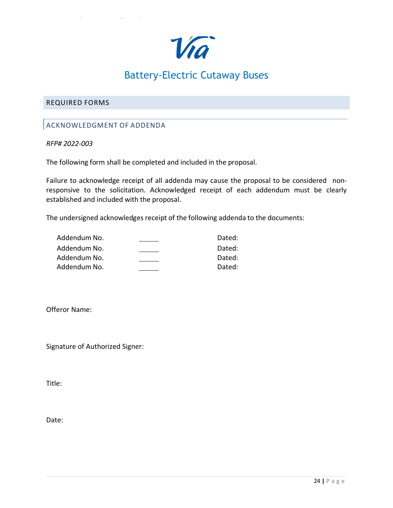

### <span id="page-18-1"></span><span id="page-18-0"></span>REQUIRED FORMS

### ACKNOWLEDGMENT OF ADDENDA

### *RFP# 2022-003*

The following form shall be completed and included in the proposal.

Failure to acknowledge receipt of all addenda may cause the proposal to be considered nonresponsive to the solicitation. Acknowledged receipt of each addendum must be clearly established and included with the proposal.

The undersigned acknowledges receipt of the following addenda to the documents:

| Addendum No. | Dated: |
|--------------|--------|
| Addendum No. | Dated: |
| Addendum No. | Dated: |
| Addendum No. | Dated: |

Offeror Name:

Signature of Authorized Signer:

Title:

Date: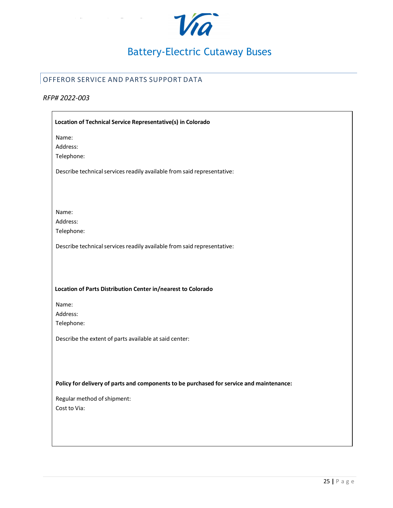

## <span id="page-19-0"></span>OFFEROR SERVICE AND PARTS SUPPORT DATA

### *RFP# 2022-003*

| Location of Technical Service Representative(s) in Colorado                              |
|------------------------------------------------------------------------------------------|
| Name:                                                                                    |
| Address:                                                                                 |
| Telephone:                                                                               |
| Describe technical services readily available from said representative:                  |
| Name:<br>Address:                                                                        |
| Telephone:                                                                               |
| Describe technical services readily available from said representative:                  |
|                                                                                          |
| Location of Parts Distribution Center in/nearest to Colorado                             |
| Name:                                                                                    |
| Address:                                                                                 |
| Telephone:                                                                               |
| Describe the extent of parts available at said center:                                   |
|                                                                                          |
|                                                                                          |
| Policy for delivery of parts and components to be purchased for service and maintenance: |
| Regular method of shipment:                                                              |
| Cost to Via:                                                                             |
|                                                                                          |
|                                                                                          |
|                                                                                          |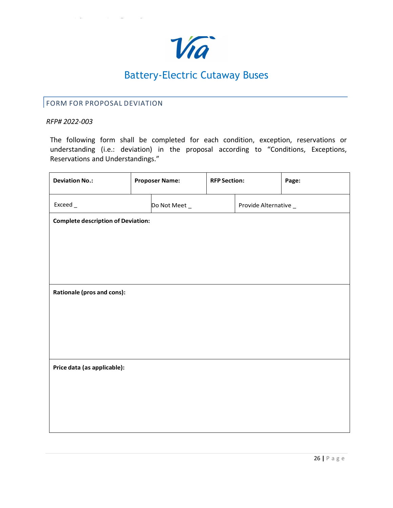

## <span id="page-20-0"></span>FORM FOR PROPOSAL DEVIATION

### *RFP# 2022-003*

The following form shall be completed for each condition, exception, reservations or understanding (i.e.: deviation) in the proposal according to "Conditions, Exceptions, Reservations and Understandings."

| <b>Deviation No.:</b>                     |  | <b>Proposer Name:</b> | <b>RFP Section:</b> |                      | Page: |
|-------------------------------------------|--|-----------------------|---------------------|----------------------|-------|
| Exceed_                                   |  | Do Not Meet _         |                     | Provide Alternative_ |       |
| <b>Complete description of Deviation:</b> |  |                       |                     |                      |       |
|                                           |  |                       |                     |                      |       |
|                                           |  |                       |                     |                      |       |
|                                           |  |                       |                     |                      |       |
| Rationale (pros and cons):                |  |                       |                     |                      |       |
|                                           |  |                       |                     |                      |       |
|                                           |  |                       |                     |                      |       |
|                                           |  |                       |                     |                      |       |
| Price data (as applicable):               |  |                       |                     |                      |       |
|                                           |  |                       |                     |                      |       |
|                                           |  |                       |                     |                      |       |
|                                           |  |                       |                     |                      |       |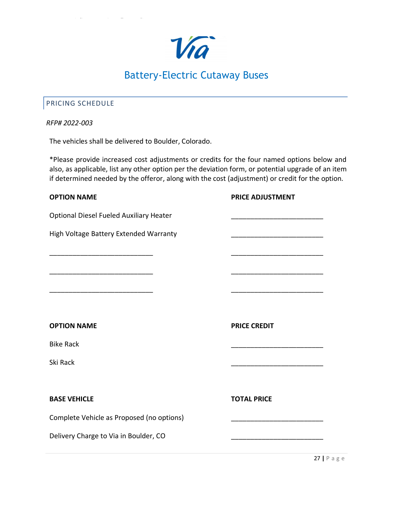

## <span id="page-21-0"></span>PRICING SCHEDULE

### *RFP# 2022-003*

The vehicles shall be delivered to Boulder, Colorado.

\*Please provide increased cost adjustments or credits for the four named options below and also, as applicable, list any other option per the deviation form, or potential upgrade of an item if determined needed by the offeror, along with the cost (adjustment) or credit for the option.

| <b>OPTION NAME</b>                             | <b>PRICE ADJUSTMENT</b> |
|------------------------------------------------|-------------------------|
| <b>Optional Diesel Fueled Auxiliary Heater</b> |                         |
| High Voltage Battery Extended Warranty         |                         |
|                                                |                         |
|                                                |                         |
|                                                |                         |
| <b>OPTION NAME</b>                             | <b>PRICE CREDIT</b>     |
| <b>Bike Rack</b>                               |                         |
| Ski Rack                                       |                         |
|                                                |                         |
| <b>BASE VEHICLE</b>                            | <b>TOTAL PRICE</b>      |
| Complete Vehicle as Proposed (no options)      |                         |
| Delivery Charge to Via in Boulder, CO          |                         |
|                                                |                         |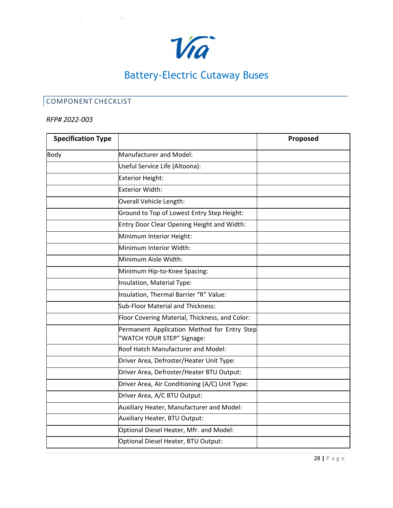

## <span id="page-22-0"></span>COMPONENT CHECKLIST

### *RFP# 2022-003*

| <b>Specification Type</b> |                                                                           | Proposed |
|---------------------------|---------------------------------------------------------------------------|----------|
| Body                      | Manufacturer and Model:                                                   |          |
|                           | Useful Service Life (Altoona):                                            |          |
|                           | Exterior Height:                                                          |          |
|                           | <b>Exterior Width:</b>                                                    |          |
|                           | Overall Vehicle Length:                                                   |          |
|                           | Ground to Top of Lowest Entry Step Height:                                |          |
|                           | Entry Door Clear Opening Height and Width:                                |          |
|                           | Minimum Interior Height:                                                  |          |
|                           | Minimum Interior Width:                                                   |          |
|                           | Minimum Aisle Width:                                                      |          |
|                           | Minimum Hip-to-Knee Spacing:                                              |          |
|                           | Insulation, Material Type:                                                |          |
|                           | Insulation, Thermal Barrier "R" Value:                                    |          |
|                           | Sub-Floor Material and Thickness:                                         |          |
|                           | Floor Covering Material, Thickness, and Color:                            |          |
|                           | Permanent Application Method for Entry Step<br>"WATCH YOUR STEP" Signage: |          |
|                           | Roof Hatch Manufacturer and Model:                                        |          |
|                           | Driver Area, Defroster/Heater Unit Type:                                  |          |
|                           | Driver Area, Defroster/Heater BTU Output:                                 |          |
|                           | Driver Area, Air Conditioning (A/C) Unit Type:                            |          |
|                           | Driver Area, A/C BTU Output:                                              |          |
|                           | Auxiliary Heater, Manufacturer and Model:                                 |          |
|                           | Auxiliary Heater, BTU Output:                                             |          |
|                           | Optional Diesel Heater, Mfr. and Model:                                   |          |
|                           | Optional Diesel Heater, BTU Output:                                       |          |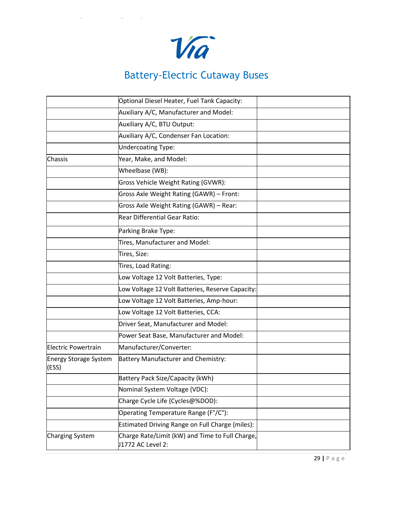

|                                | Optional Diesel Heater, Fuel Tank Capacity:                          |  |
|--------------------------------|----------------------------------------------------------------------|--|
|                                | Auxiliary A/C, Manufacturer and Model:                               |  |
|                                | Auxiliary A/C, BTU Output:                                           |  |
|                                | Auxiliary A/C, Condenser Fan Location:                               |  |
|                                | <b>Undercoating Type:</b>                                            |  |
| Chassis                        | Year, Make, and Model:                                               |  |
|                                | Wheelbase (WB):                                                      |  |
|                                | Gross Vehicle Weight Rating (GVWR):                                  |  |
|                                | Gross Axle Weight Rating (GAWR) - Front:                             |  |
|                                | Gross Axle Weight Rating (GAWR) - Rear:                              |  |
|                                | Rear Differential Gear Ratio:                                        |  |
|                                | Parking Brake Type:                                                  |  |
|                                | Tires, Manufacturer and Model:                                       |  |
|                                | Tires, Size:                                                         |  |
|                                | Tires, Load Rating:                                                  |  |
|                                | Low Voltage 12 Volt Batteries, Type:                                 |  |
|                                | Low Voltage 12 Volt Batteries, Reserve Capacity:                     |  |
|                                | Low Voltage 12 Volt Batteries, Amp-hour:                             |  |
|                                | Low Voltage 12 Volt Batteries, CCA:                                  |  |
|                                | Driver Seat, Manufacturer and Model:                                 |  |
|                                | Power Seat Base, Manufacturer and Model:                             |  |
| Electric Powertrain            | Manufacturer/Converter:                                              |  |
| Energy Storage System<br>(ESS) | Battery Manufacturer and Chemistry:                                  |  |
|                                | Battery Pack Size/Capacity (kWh)                                     |  |
|                                | Nominal System Voltage (VDC):                                        |  |
|                                | Charge Cycle Life (Cycles@%DOD):                                     |  |
|                                | Operating Temperature Range (F°/C°):                                 |  |
|                                | Estimated Driving Range on Full Charge (miles):                      |  |
| Charging System                | Charge Rate/Limit (kW) and Time to Full Charge,<br>J1772 AC Level 2: |  |
|                                |                                                                      |  |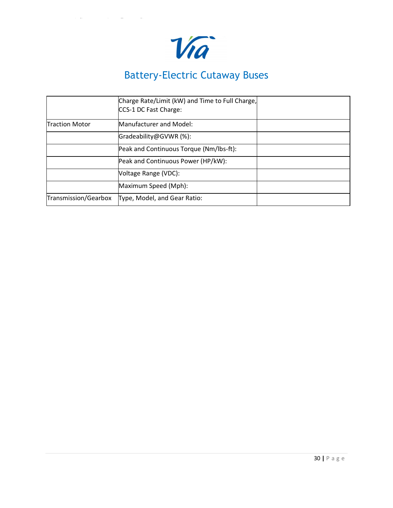

|                       | Charge Rate/Limit (kW) and Time to Full Charge,<br>CCS-1 DC Fast Charge: |  |
|-----------------------|--------------------------------------------------------------------------|--|
| <b>Traction Motor</b> | Manufacturer and Model:                                                  |  |
|                       | Gradeability@GVWR (%):                                                   |  |
|                       | Peak and Continuous Torque (Nm/lbs-ft):                                  |  |
|                       | Peak and Continuous Power (HP/kW):                                       |  |
|                       | Voltage Range (VDC):                                                     |  |
|                       | Maximum Speed (Mph):                                                     |  |
| Transmission/Gearbox  | Type, Model, and Gear Ratio:                                             |  |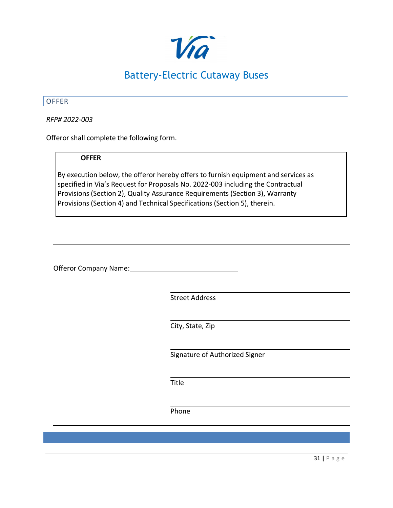

### <span id="page-25-0"></span>**OFFER**

г

*RFP# 2022-003*

Offeror shall complete the following form.

### **OFFER**

By execution below, the offeror hereby offers to furnish equipment and services as specified in Via's Request for Proposals No. 2022-003 including the Contractual Provisions (Section 2), Quality Assurance Requirements (Section 3), Warranty Provisions (Section 4) and Technical Specifications (Section 5), therein.

| Offeror Company Name: |                                |
|-----------------------|--------------------------------|
|                       |                                |
|                       | <b>Street Address</b>          |
|                       |                                |
|                       | City, State, Zip               |
|                       |                                |
|                       | Signature of Authorized Signer |
|                       |                                |
|                       | Title                          |
|                       |                                |
|                       | Phone                          |
|                       |                                |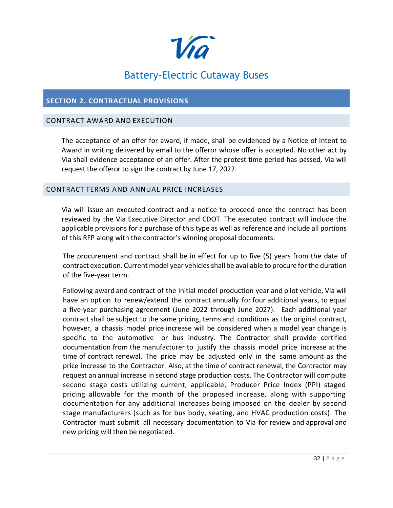

### <span id="page-26-0"></span>**SECTION 2. CONTRACTUAL PROVISIONS**

### <span id="page-26-1"></span>CONTRACT AWARD AND EXECUTION

The acceptance of an offer for award, if made, shall be evidenced by a Notice of Intent to Award in writing delivered by email to the offeror whose offer is accepted. No other act by Via shall evidence acceptance of an offer. After the protest time period has passed, Via will request the offeror to sign the contract by June 17, 2022.

### <span id="page-26-2"></span>CONTRACT TERMS AND ANNUAL PRICE INCREASES

Via will issue an executed contract and a notice to proceed once the contract has been reviewed by the Via Executive Director and CDOT. The executed contract will include the applicable provisions for a purchase of this type as well as reference and include all portions of this RFP along with the contractor's winning proposal documents.

The procurement and contract shall be in effect for up to five (5) years from the date of contract execution. Current model year vehicles shall be available to procure for the duration of the five-year term.

Following award and contract of the initial model production year and pilot vehicle, Via will have an option to renew/extend the contract annually for four additional years, to equal a five-year purchasing agreement (June 2022 through June 2027). Each additional year contract shall be subject to the same pricing, terms and conditions as the original contract, however, a chassis model price increase will be considered when a model year change is specific to the automotive or bus industry. The Contractor shall provide certified documentation from the manufacturer to justify the chassis model price increase at the time of contract renewal. The price may be adjusted only in the same amount as the price increase to the Contractor. Also, at the time of contract renewal, the Contractor may request an annual increase in second stage production costs. The Contractor will compute second stage costs utilizing current, applicable, Producer Price Index (PPI) staged pricing allowable for the month of the proposed increase, along with supporting documentation for any additional increases being imposed on the dealer by second stage manufacturers (such as for bus body, seating, and HVAC production costs). The Contractor must submit all necessary documentation to Via for review and approval and new pricing will then be negotiated.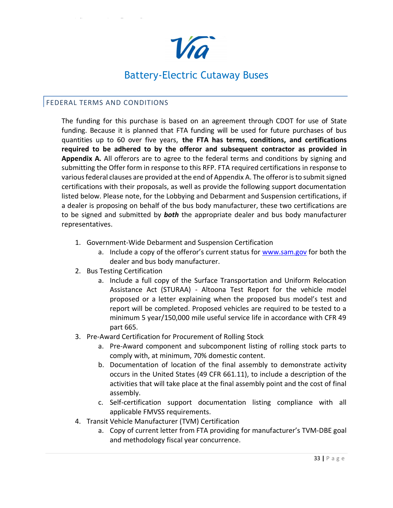

### <span id="page-27-0"></span>FEDERAL TERMS AND CONDITIONS

The funding for this purchase is based on an agreement through CDOT for use of State funding. Because it is planned that FTA funding will be used for future purchases of bus quantities up to 60 over five years, **the FTA has terms, conditions, and certifications required to be adhered to by the offeror and subsequent contractor as provided in Appendix A.** All offerors are to agree to the federal terms and conditions by signing and submitting the Offer form in response to this RFP. FTA required certifications in response to various federal clauses are provided at the end of Appendix A. The offeror is to submit signed certifications with their proposals, as well as provide the following support documentation listed below. Please note, for the Lobbying and Debarment and Suspension certifications, if a dealer is proposing on behalf of the bus body manufacturer, these two certifications are to be signed and submitted by *both* the appropriate dealer and bus body manufacturer representatives.

- 1. Government-Wide Debarment and Suspension Certification
	- a. Include a copy of the offeror's current status for [www.sam.gov](http://www.sam.gov/) for both the dealer and bus body manufacturer.
- 2. Bus Testing Certification
	- a. Include a full copy of the Surface Transportation and Uniform Relocation Assistance Act (STURAA) - Altoona Test Report for the vehicle model proposed or a letter explaining when the proposed bus model's test and report will be completed. Proposed vehicles are required to be tested to a minimum 5 year/150,000 mile useful service life in accordance with CFR 49 part 665.
- 3. Pre-Award Certification for Procurement of Rolling Stock
	- a. Pre-Award component and subcomponent listing of rolling stock parts to comply with, at minimum, 70% domestic content.
	- b. Documentation of location of the final assembly to demonstrate activity occurs in the United States (49 CFR 661.11), to include a description of the activities that will take place at the final assembly point and the cost of final assembly.
	- c. Self-certification support documentation listing compliance with all applicable FMVSS requirements.
- 4. Transit Vehicle Manufacturer (TVM) Certification
	- a. Copy of current letter from FTA providing for manufacturer's TVM-DBE goal and methodology fiscal year concurrence.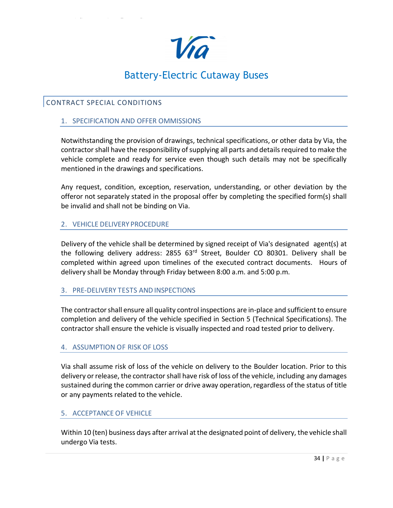

## <span id="page-28-0"></span>CONTRACT SPECIAL CONDITIONS

### 1. SPECIFICATION AND OFFER OMMISSIONS

Notwithstanding the provision of drawings, technical specifications, or other data by Via, the contractor shall have the responsibility of supplying all parts and details required to make the vehicle complete and ready for service even though such details may not be specifically mentioned in the drawings and specifications.

Any request, condition, exception, reservation, understanding, or other deviation by the offeror not separately stated in the proposal offer by completing the specified form(s) shall be invalid and shall not be binding on Via.

### 2. VEHICLE DELIVERY PROCEDURE

Delivery of the vehicle shall be determined by signed receipt of Via's designated agent(s) at the following delivery address: 2855 63<sup>rd</sup> Street, Boulder CO 80301. Delivery shall be completed within agreed upon timelines of the executed contract documents. Hours of delivery shall be Monday through Friday between 8:00 a.m. and 5:00 p.m.

### 3. PRE-DELIVERY TESTS AND INSPECTIONS

The contractorshall ensure all quality control inspections are in-place and sufficient to ensure completion and delivery of the vehicle specified in Section 5 (Technical Specifications). The contractor shall ensure the vehicle is visually inspected and road tested prior to delivery.

### 4. ASSUMPTION OF RISK OF LOSS

Via shall assume risk of loss of the vehicle on delivery to the Boulder location. Prior to this delivery or release, the contractor shall have risk of loss of the vehicle, including any damages sustained during the common carrier or drive away operation, regardless of the status of title or any payments related to the vehicle.

### 5. ACCEPTANCE OF VEHICLE

Within 10 (ten) business days after arrival at the designated point of delivery, the vehicle shall undergo Via tests.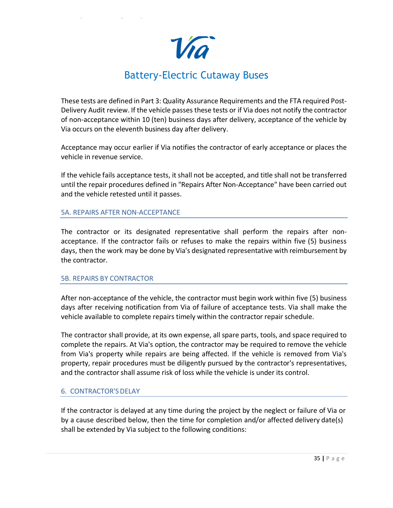Via

These tests are defined in Part 3: Quality Assurance Requirements and the FTA required Post-Delivery Audit review. If the vehicle passes these tests or if Via does not notify the contractor of non-acceptance within 10 (ten) business days after delivery, acceptance of the vehicle by Via occurs on the eleventh business day after delivery.

Acceptance may occur earlier if Via notifies the contractor of early acceptance or places the vehicle in revenue service.

If the vehicle fails acceptance tests, it shall not be accepted, and title shall not be transferred until the repair procedures defined in "Repairs After Non-Acceptance" have been carried out and the vehicle retested until it passes.

### 5A. REPAIRS AFTER NON-ACCEPTANCE

The contractor or its designated representative shall perform the repairs after nonacceptance. If the contractor fails or refuses to make the repairs within five (5) business days, then the work may be done by Via's designated representative with reimbursement by the contractor.

### 5B. REPAIRS BY CONTRACTOR

After non-acceptance of the vehicle, the contractor must begin work within five (5) business days after receiving notification from Via of failure of acceptance tests. Via shall make the vehicle available to complete repairs timely within the contractor repair schedule.

The contractor shall provide, at its own expense, all spare parts, tools, and space required to complete the repairs. At Via's option, the contractor may be required to remove the vehicle from Via's property while repairs are being affected. If the vehicle is removed from Via's property, repair procedures must be diligently pursued by the contractor's representatives, and the contractor shall assume risk of loss while the vehicle is under its control.

### 6. CONTRACTOR'SDELAY

If the contractor is delayed at any time during the project by the neglect or failure of Via or by a cause described below, then the time for completion and/or affected delivery date(s) shall be extended by Via subject to the following conditions: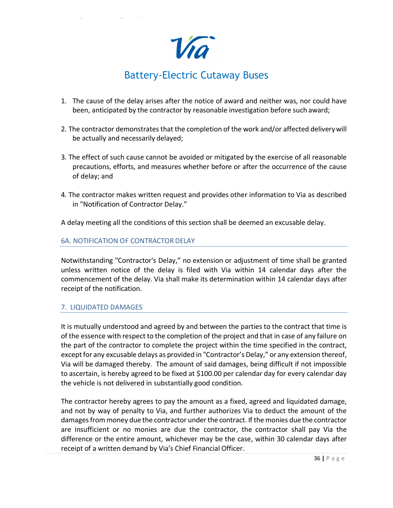Via

- 1. The cause of the delay arises after the notice of award and neither was, nor could have been, anticipated by the contractor by reasonable investigation before such award;
- 2. The contractor demonstrates that the completion of the work and/or affected delivery will be actually and necessarily delayed;
- 3. The effect of such cause cannot be avoided or mitigated by the exercise of all reasonable precautions, efforts, and measures whether before or after the occurrence of the cause of delay; and
- 4. The contractor makes written request and provides other information to Via as described in "Notification of Contractor Delay."

A delay meeting all the conditions of this section shall be deemed an excusable delay.

### 6A. NOTIFICATION OF CONTRACTOR DELAY

Notwithstanding "Contractor's Delay," no extension or adjustment of time shall be granted unless written notice of the delay is filed with Via within 14 calendar days after the commencement of the delay. Via shall make its determination within 14 calendar days after receipt of the notification.

### 7. LIQUIDATED DAMAGES

It is mutually understood and agreed by and between the parties to the contract that time is of the essence with respect to the completion of the project and that in case of any failure on the part of the contractor to complete the project within the time specified in the contract, except for any excusable delays as provided in "Contractor's Delay," or any extension thereof, Via will be damaged thereby. The amount of said damages, being difficult if not impossible to ascertain, is hereby agreed to be fixed at \$100.00 per calendar day for every calendar day the vehicle is not delivered in substantially good condition.

The contractor hereby agrees to pay the amount as a fixed, agreed and liquidated damage, and not by way of penalty to Via, and further authorizes Via to deduct the amount of the damages from money due the contractor under the contract. If the monies due the contractor are insufficient or no monies are due the contractor, the contractor shall pay Via the difference or the entire amount, whichever may be the case, within 30 calendar days after receipt of a written demand by Via's Chief Financial Officer.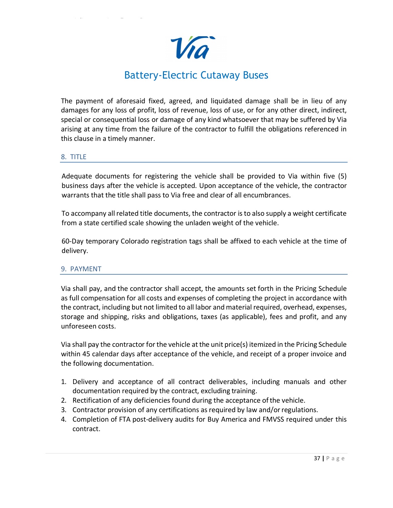Via

The payment of aforesaid fixed, agreed, and liquidated damage shall be in lieu of any damages for any loss of profit, loss of revenue, loss of use, or for any other direct, indirect, special or consequential loss or damage of any kind whatsoever that may be suffered by Via arising at any time from the failure of the contractor to fulfill the obligations referenced in this clause in a timely manner.

### 8. TITLE

Adequate documents for registering the vehicle shall be provided to Via within five (5) business days after the vehicle is accepted. Upon acceptance of the vehicle, the contractor warrants that the title shall pass to Via free and clear of all encumbrances.

To accompany all related title documents, the contractor is to also supply a weight certificate from a state certified scale showing the unladen weight of the vehicle.

60-Day temporary Colorado registration tags shall be affixed to each vehicle at the time of delivery.

### 9. PAYMENT

Via shall pay, and the contractor shall accept, the amounts set forth in the Pricing Schedule as full compensation for all costs and expenses of completing the project in accordance with the contract, including but not limited to all labor and material required, overhead, expenses, storage and shipping, risks and obligations, taxes (as applicable), fees and profit, and any unforeseen costs.

Via shall pay the contractor for the vehicle at the unit price(s) itemized in the Pricing Schedule within 45 calendar days after acceptance of the vehicle, and receipt of a proper invoice and the following documentation.

- 1. Delivery and acceptance of all contract deliverables, including manuals and other documentation required by the contract, excluding training.
- 2. Rectification of any deficiencies found during the acceptance ofthe vehicle.
- 3. Contractor provision of any certifications as required by law and/or regulations.
- 4. Completion of FTA post-delivery audits for Buy America and FMVSS required under this contract.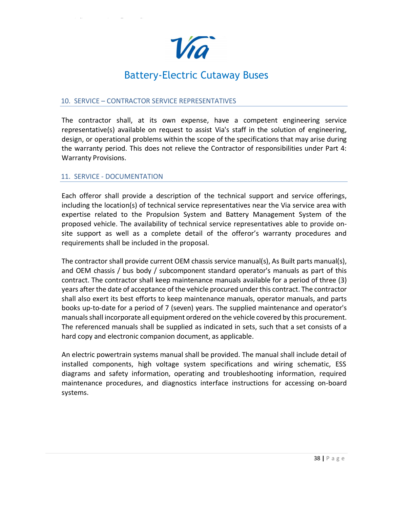

### 10. SERVICE – CONTRACTOR SERVICE REPRESENTATIVES

The contractor shall, at its own expense, have a competent engineering service representative(s) available on request to assist Via's staff in the solution of engineering, design, or operational problems within the scope of the specifications that may arise during the warranty period. This does not relieve the Contractor of responsibilities under Part 4: Warranty Provisions.

### 11. SERVICE - DOCUMENTATION

Each offeror shall provide a description of the technical support and service offerings, including the location(s) of technical service representatives near the Via service area with expertise related to the Propulsion System and Battery Management System of the proposed vehicle. The availability of technical service representatives able to provide onsite support as well as a complete detail of the offeror's warranty procedures and requirements shall be included in the proposal.

The contractor shall provide current OEM chassis service manual(s), As Built parts manual(s), and OEM chassis / bus body / subcomponent standard operator's manuals as part of this contract. The contractor shall keep maintenance manuals available for a period of three (3) years after the date of acceptance of the vehicle procured under this contract. The contractor shall also exert its best efforts to keep maintenance manuals, operator manuals, and parts books up-to-date for a period of 7 (seven) years. The supplied maintenance and operator's manualsshall incorporate all equipment ordered on the vehicle covered by this procurement. The referenced manuals shall be supplied as indicated in sets, such that a set consists of a hard copy and electronic companion document, as applicable.

An electric powertrain systems manual shall be provided. The manual shall include detail of installed components, high voltage system specifications and wiring schematic, ESS diagrams and safety information, operating and troubleshooting information, required maintenance procedures, and diagnostics interface instructions for accessing on-board systems.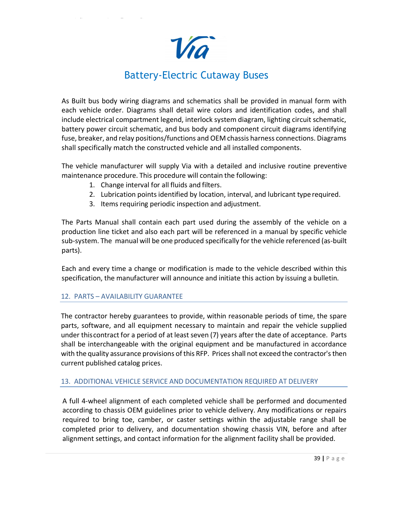Via

As Built bus body wiring diagrams and schematics shall be provided in manual form with each vehicle order. Diagrams shall detail wire colors and identification codes, and shall include electrical compartment legend, interlock system diagram, lighting circuit schematic, battery power circuit schematic, and bus body and component circuit diagrams identifying fuse, breaker, and relay positions/functions and OEM chassis harness connections. Diagrams shall specifically match the constructed vehicle and all installed components.

The vehicle manufacturer will supply Via with a detailed and inclusive routine preventive maintenance procedure. This procedure will contain the following:

- 1. Change interval for all fluids and filters.
- 2. Lubrication pointsidentified by location, interval, and lubricant type required.
- 3. Items requiring periodic inspection and adjustment.

The Parts Manual shall contain each part used during the assembly of the vehicle on a production line ticket and also each part will be referenced in a manual by specific vehicle sub-system. The manual will be one produced specifically for the vehicle referenced (as-built parts).

Each and every time a change or modification is made to the vehicle described within this specification, the manufacturer will announce and initiate this action by issuing a bulletin.

### 12. PARTS – AVAILABILITY GUARANTEE

The contractor hereby guarantees to provide, within reasonable periods of time, the spare parts, software, and all equipment necessary to maintain and repair the vehicle supplied under thiscontract for a period of at least seven (7) years after the date of acceptance. Parts shall be interchangeable with the original equipment and be manufactured in accordance with the quality assurance provisions of this RFP. Prices shall not exceed the contractor's then current published catalog prices.

### 13. ADDITIONAL VEHICLE SERVICE AND DOCUMENTATION REQUIRED AT DELIVERY

A full 4-wheel alignment of each completed vehicle shall be performed and documented according to chassis OEM guidelines prior to vehicle delivery. Any modifications or repairs required to bring toe, camber, or caster settings within the adjustable range shall be completed prior to delivery, and documentation showing chassis VIN, before and after alignment settings, and contact information for the alignment facility shall be provided.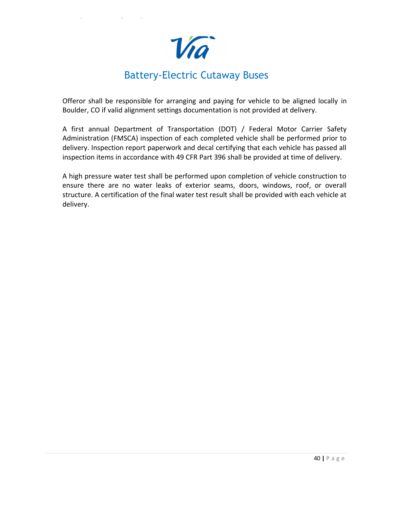Vra

Offeror shall be responsible for arranging and paying for vehicle to be aligned locally in Boulder, CO if valid alignment settings documentation is not provided at delivery.

A first annual Department of Transportation (DOT) / Federal Motor Carrier Safety Administration (FMSCA) inspection of each completed vehicle shall be performed prior to delivery. Inspection report paperwork and decal certifying that each vehicle has passed all inspection items in accordance with 49 CFR Part 396 shall be provided at time of delivery.

A high pressure water test shall be performed upon completion of vehicle construction to ensure there are no water leaks of exterior seams, doors, windows, roof, or overall structure. A certification of the final water test result shall be provided with each vehicle at delivery.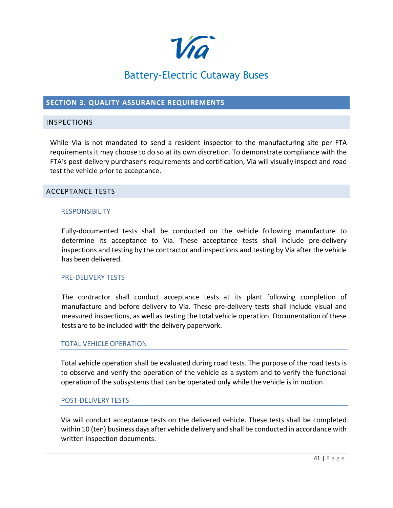

### <span id="page-35-0"></span>**SECTION 3. QUALITY ASSURANCE REQUIREMENTS**

### <span id="page-35-1"></span>INSPECTIONS

While Via is not mandated to send a resident inspector to the manufacturing site per FTA requirements it may choose to do so at its own discretion. To demonstrate compliance with the FTA's post-delivery purchaser's requirements and certification, Via will visually inspect and road test the vehicle prior to acceptance.

### <span id="page-35-2"></span>ACCEPTANCE TESTS

### **RESPONSIBILITY**

Fully-documented tests shall be conducted on the vehicle following manufacture to determine its acceptance to Via. These acceptance tests shall include pre-delivery inspections and testing by the contractor and inspections and testing by Via after the vehicle has been delivered.

### PRE-DELIVERY TESTS

The contractor shall conduct acceptance tests at its plant following completion of manufacture and before delivery to Via. These pre-delivery tests shall include visual and measured inspections, as well as testing the total vehicle operation. Documentation of these tests are to be included with the delivery paperwork.

### TOTAL VEHICLE OPERATION

Total vehicle operation shall be evaluated during road tests. The purpose of the road tests is to observe and verify the operation of the vehicle as a system and to verify the functional operation of the subsystems that can be operated only while the vehicle is in motion.

### POST-DELIVERY TESTS

Via will conduct acceptance tests on the delivered vehicle. These tests shall be completed within 10 (ten) business days after vehicle delivery and shall be conducted in accordance with written inspection documents.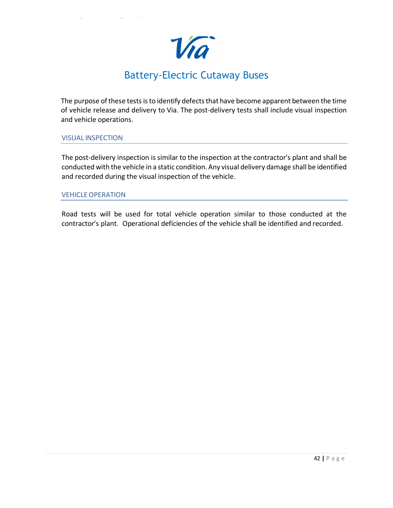Vra

The purpose of these tests is to identify defects that have become apparent between the time of vehicle release and delivery to Via. The post-delivery tests shall include visual inspection and vehicle operations.

### VISUAL INSPECTION

The post-delivery inspection is similar to the inspection at the contractor's plant and shall be conducted with the vehicle in a static condition.Any visual delivery damage shall be identified and recorded during the visual inspection of the vehicle.

### VEHICLEOPERATION

Road tests will be used for total vehicle operation similar to those conducted at the contractor's plant. Operational deficiencies of the vehicle shall be identified and recorded.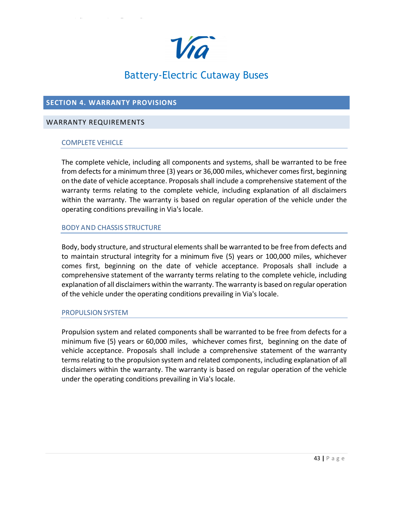

### <span id="page-37-0"></span>**SECTION 4. WARRANTY PROVISIONS**

### <span id="page-37-1"></span>WARRANTY REQUIREMENTS

### COMPLETE VEHICLE

The complete vehicle, including all components and systems, shall be warranted to be free from defects for a minimum three (3) years or 36,000 miles, whichever comes first, beginning on the date of vehicle acceptance. Proposals shall include a comprehensive statement of the warranty terms relating to the complete vehicle, including explanation of all disclaimers within the warranty. The warranty is based on regular operation of the vehicle under the operating conditions prevailing in Via's locale.

### BODY AND CHASSIS STRUCTURE

Body, body structure, and structural elements shall be warranted to be free from defects and to maintain structural integrity for a minimum five (5) years or 100,000 miles, whichever comes first, beginning on the date of vehicle acceptance. Proposals shall include a comprehensive statement of the warranty terms relating to the complete vehicle, including explanation of all disclaimers within the warranty. The warranty is based on regular operation of the vehicle under the operating conditions prevailing in Via's locale.

### PROPULSION SYSTEM

Propulsion system and related components shall be warranted to be free from defects for a minimum five (5) years or 60,000 miles, whichever comes first, beginning on the date of vehicle acceptance. Proposals shall include a comprehensive statement of the warranty terms relating to the propulsion system and related components, including explanation of all disclaimers within the warranty. The warranty is based on regular operation of the vehicle under the operating conditions prevailing in Via's locale.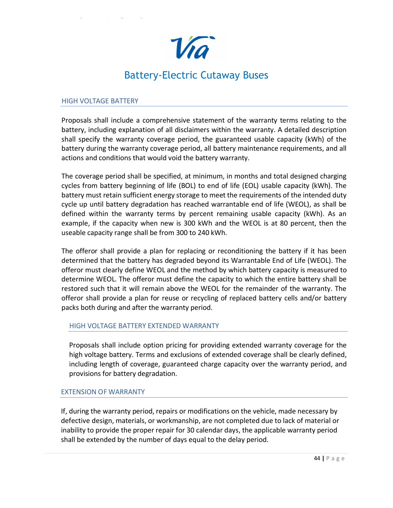

### HIGH VOLTAGE BATTERY

Proposals shall include a comprehensive statement of the warranty terms relating to the battery, including explanation of all disclaimers within the warranty. A detailed description shall specify the warranty coverage period, the guaranteed usable capacity (kWh) of the battery during the warranty coverage period, all battery maintenance requirements, and all actions and conditions that would void the battery warranty.

The coverage period shall be specified, at minimum, in months and total designed charging cycles from battery beginning of life (BOL) to end of life (EOL) usable capacity (kWh). The battery must retain sufficient energy storage to meet the requirements of the intended duty cycle up until battery degradation has reached warrantable end of life (WEOL), as shall be defined within the warranty terms by percent remaining usable capacity (kWh). As an example, if the capacity when new is 300 kWh and the WEOL is at 80 percent, then the useable capacity range shall be from 300 to 240 kWh.

The offeror shall provide a plan for replacing or reconditioning the battery if it has been determined that the battery has degraded beyond its Warrantable End of Life (WEOL). The offeror must clearly define WEOL and the method by which battery capacity is measured to determine WEOL. The offeror must define the capacity to which the entire battery shall be restored such that it will remain above the WEOL for the remainder of the warranty. The offeror shall provide a plan for reuse or recycling of replaced battery cells and/or battery packs both during and after the warranty period.

### HIGH VOLTAGE BATTERY EXTENDED WARRANTY

Proposals shall include option pricing for providing extended warranty coverage for the high voltage battery. Terms and exclusions of extended coverage shall be clearly defined, including length of coverage, guaranteed charge capacity over the warranty period, and provisions for battery degradation.

### EXTENSION OF WARRANTY

If, during the warranty period, repairs or modifications on the vehicle, made necessary by defective design, materials, or workmanship, are not completed due to lack of material or inability to provide the proper repair for 30 calendar days, the applicable warranty period shall be extended by the number of days equal to the delay period.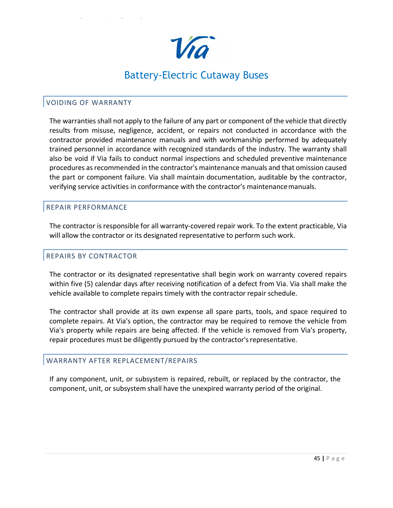

### <span id="page-39-0"></span>VOIDING OF WARRANTY

The warranties shall not apply to the failure of any part or component of the vehicle that directly results from misuse, negligence, accident, or repairs not conducted in accordance with the contractor provided maintenance manuals and with workmanship performed by adequately trained personnel in accordance with recognized standards of the industry. The warranty shall also be void if Via fails to conduct normal inspections and scheduled preventive maintenance procedures asrecommended in the contractor's maintenance manuals and that omission caused the part or component failure. Via shall maintain documentation, auditable by the contractor, verifying service activities in conformance with the contractor's maintenancemanuals.

### <span id="page-39-1"></span>REPAIR PERFORMANCE

The contractor is responsible for all warranty-covered repair work. To the extent practicable, Via will allow the contractor or its designated representative to perform such work.

### <span id="page-39-2"></span>REPAIRS BY CONTRACTOR

The contractor or its designated representative shall begin work on warranty covered repairs within five (5) calendar days after receiving notification of a defect from Via. Via shall make the vehicle available to complete repairs timely with the contractor repair schedule.

The contractor shall provide at its own expense all spare parts, tools, and space required to complete repairs. At Via's option, the contractor may be required to remove the vehicle from Via's property while repairs are being affected. If the vehicle is removed from Via's property, repair procedures must be diligently pursued by the contractor'srepresentative.

### <span id="page-39-3"></span>WARRANTY AFTER REPLACEMENT/REPAIRS

If any component, unit, or subsystem is repaired, rebuilt, or replaced by the contractor, the component, unit, or subsystem shall have the unexpired warranty period of the original.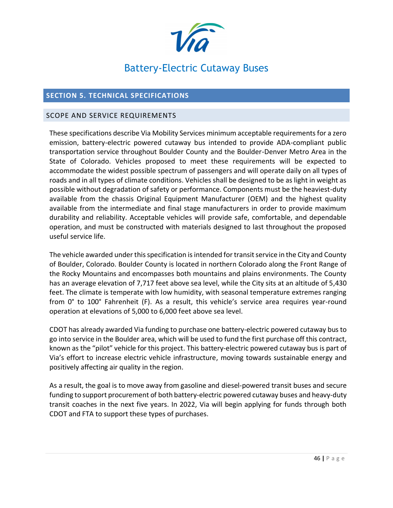

### <span id="page-40-0"></span>**SECTION 5. TECHNICAL SPECIFICATIONS**

### <span id="page-40-1"></span>SCOPE AND SERVICE REQUIREMENTS

These specifications describe Via Mobility Services minimum acceptable requirements for a zero emission, battery-electric powered cutaway bus intended to provide ADA-compliant public transportation service throughout Boulder County and the Boulder-Denver Metro Area in the State of Colorado. Vehicles proposed to meet these requirements will be expected to accommodate the widest possible spectrum of passengers and will operate daily on all types of roads and in all types of climate conditions. Vehicles shall be designed to be as light in weight as possible without degradation of safety or performance. Components must be the heaviest-duty available from the chassis Original Equipment Manufacturer (OEM) and the highest quality available from the intermediate and final stage manufacturers in order to provide maximum durability and reliability. Acceptable vehicles will provide safe, comfortable, and dependable operation, and must be constructed with materials designed to last throughout the proposed useful service life.

The vehicle awarded under this specification is intended for transit service in the City and County of Boulder, Colorado. Boulder County is located in northern Colorado along the Front Range of the Rocky Mountains and encompasses both mountains and plains environments. The County has an average elevation of 7,717 feet above sea level, while the City sits at an altitude of 5,430 feet. The climate is temperate with low humidity, with seasonal temperature extremes ranging from 0° to 100° Fahrenheit (F). As a result, this vehicle's service area requires year-round operation at elevations of 5,000 to 6,000 feet above sea level.

CDOT has already awarded Via funding to purchase one battery-electric powered cutaway bus to go into service in the Boulder area, which will be used to fund the first purchase off this contract, known as the "pilot" vehicle for this project. This battery-electric powered cutaway bus is part of Via's effort to increase electric vehicle infrastructure, moving towards sustainable energy and positively affecting air quality in the region.

As a result, the goal is to move away from gasoline and diesel-powered transit buses and secure funding to support procurement of both battery-electric powered cutaway buses and heavy-duty transit coaches in the next five years. In 2022, Via will begin applying for funds through both CDOT and FTA to support these types of purchases.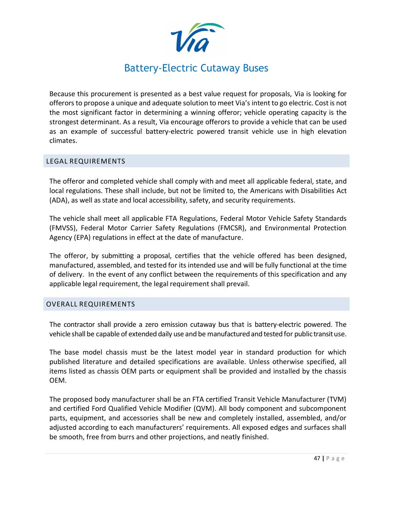

Because this procurement is presented as a best value request for proposals, Via is looking for offerors to propose a unique and adequate solution to meet Via's intent to go electric. Cost is not the most significant factor in determining a winning offeror; vehicle operating capacity is the strongest determinant. As a result, Via encourage offerors to provide a vehicle that can be used as an example of successful battery-electric powered transit vehicle use in high elevation climates.

### <span id="page-41-0"></span>LEGAL REQUIREMENTS

The offeror and completed vehicle shall comply with and meet all applicable federal, state, and local regulations. These shall include, but not be limited to, the Americans with Disabilities Act (ADA), as well as state and local accessibility, safety, and security requirements.

The vehicle shall meet all applicable FTA Regulations, Federal Motor Vehicle Safety Standards (FMVSS), Federal Motor Carrier Safety Regulations (FMCSR), and Environmental Protection Agency (EPA) regulations in effect at the date of manufacture.

The offeror, by submitting a proposal, certifies that the vehicle offered has been designed, manufactured, assembled, and tested for its intended use and will be fully functional at the time of delivery. In the event of any conflict between the requirements of this specification and any applicable legal requirement, the legal requirement shall prevail.

### <span id="page-41-1"></span>OVERALL REQUIREMENTS

The contractor shall provide a zero emission cutaway bus that is battery-electric powered. The vehicle shall be capable of extended daily use and be manufacturedand tested for public transituse.

The base model chassis must be the latest model year in standard production for which published literature and detailed specifications are available. Unless otherwise specified, all items listed as chassis OEM parts or equipment shall be provided and installed by the chassis OEM.

The proposed body manufacturer shall be an FTA certified Transit Vehicle Manufacturer (TVM) and certified Ford Qualified Vehicle Modifier (QVM). All body component and subcomponent parts, equipment, and accessories shall be new and completely installed, assembled, and/or adjusted according to each manufacturers' requirements. All exposed edges and surfaces shall be smooth, free from burrs and other projections, and neatly finished.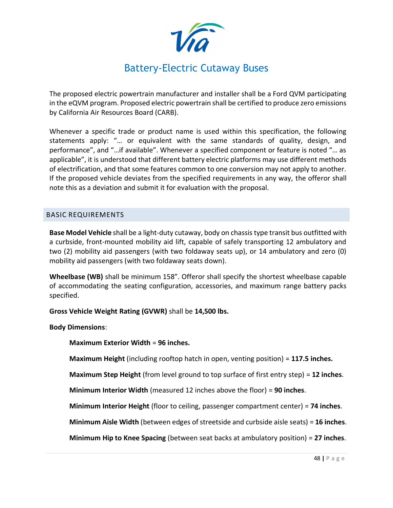

The proposed electric powertrain manufacturer and installer shall be a Ford QVM participating in the eQVM program. Proposed electric powertrain shall be certified to produce zero emissions by California Air Resources Board (CARB).

Whenever a specific trade or product name is used within this specification, the following statements apply: "… or equivalent with the same standards of quality, design, and performance", and "…if available". Whenever a specified component or feature is noted "… as applicable", it is understood that different battery electric platforms may use different methods of electrification, and that some features common to one conversion may not apply to another. If the proposed vehicle deviates from the specified requirements in any way, the offeror shall note this as a deviation and submit it for evaluation with the proposal.

### <span id="page-42-0"></span>BASIC REQUIREMENTS

**Base Model Vehicle** shall be a light-duty cutaway, body on chassis type transit bus outfitted with a curbside, front-mounted mobility aid lift, capable of safely transporting 12 ambulatory and two (2) mobility aid passengers (with two foldaway seats up), or 14 ambulatory and zero (0) mobility aid passengers (with two foldaway seats down).

**Wheelbase (WB)** shall be minimum 158". Offeror shall specify the shortest wheelbase capable of accommodating the seating configuration, accessories, and maximum range battery packs specified.

**Gross Vehicle Weight Rating (GVWR)** shall be **14,500 lbs.**

**Body Dimensions**:

**Maximum Exterior Width** = **96 inches.**

**Maximum Height** (including rooftop hatch in open, venting position) = **117.5 inches.**

**Maximum Step Height** (from level ground to top surface of first entry step) = **12 inches**.

**Minimum Interior Width** (measured 12 inches above the floor) = **90 inches**.

**Minimum Interior Height** (floor to ceiling, passenger compartment center) = **74 inches**.

**Minimum Aisle Width** (between edges of streetside and curbside aisle seats) = **16 inches**.

**Minimum Hip to Knee Spacing** (between seat backs at ambulatory position) = **27 inches**.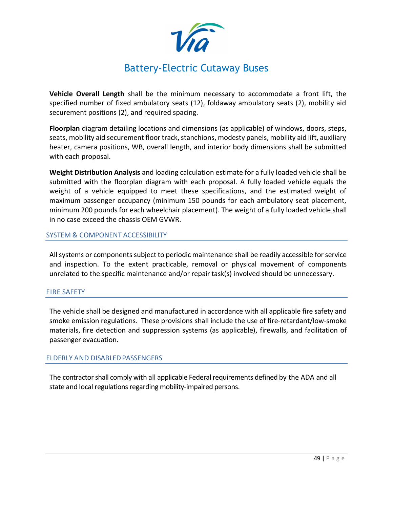

**Vehicle Overall Length** shall be the minimum necessary to accommodate a front lift, the specified number of fixed ambulatory seats (12), foldaway ambulatory seats (2), mobility aid securement positions (2), and required spacing.

**Floorplan** diagram detailing locations and dimensions (as applicable) of windows, doors, steps, seats, mobility aid securement floor track, stanchions, modesty panels, mobility aid lift, auxiliary heater, camera positions, WB, overall length, and interior body dimensions shall be submitted with each proposal.

**Weight Distribution Analysis** and loading calculation estimate for a fully loaded vehicle shall be submitted with the floorplan diagram with each proposal. A fully loaded vehicle equals the weight of a vehicle equipped to meet these specifications, and the estimated weight of maximum passenger occupancy (minimum 150 pounds for each ambulatory seat placement, minimum 200 pounds for each wheelchair placement). The weight of a fully loaded vehicle shall in no case exceed the chassis OEM GVWR.

### SYSTEM & COMPONENT ACCESSIBILITY

All systems or components subject to periodic maintenance shall be readily accessible for service and inspection. To the extent practicable, removal or physical movement of components unrelated to the specific maintenance and/or repair task(s) involved should be unnecessary.

### FIRE SAFETY

The vehicle shall be designed and manufactured in accordance with all applicable fire safety and smoke emission regulations. These provisions shall include the use of fire-retardant/low-smoke materials, fire detection and suppression systems (as applicable), firewalls, and facilitation of passenger evacuation.

### ELDERLY AND DISABLEDPASSENGERS

The contractor shall comply with all applicable Federal requirements defined by the ADA and all state and local regulations regarding mobility-impaired persons.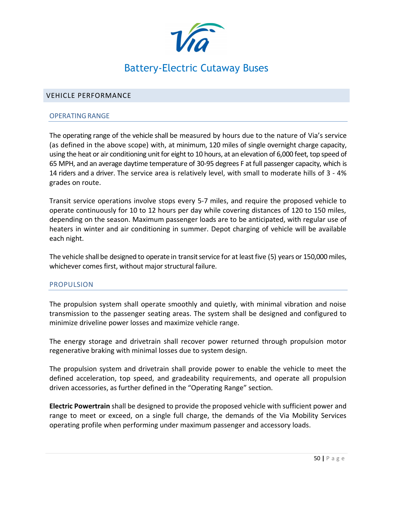

### <span id="page-44-0"></span>VEHICLE PERFORMANCE

#### OPERATING RANGE

The operating range of the vehicle shall be measured by hours due to the nature of Via's service (as defined in the above scope) with, at minimum, 120 miles of single overnight charge capacity, using the heat or air conditioning unit for eight to 10 hours, at an elevation of 6,000 feet, top speed of 65 MPH, and an average daytime temperature of 30-95 degrees F at full passenger capacity, which is 14 riders and a driver. The service area is relatively level, with small to moderate hills of 3 - 4% grades on route.

Transit service operations involve stops every 5-7 miles, and require the proposed vehicle to operate continuously for 10 to 12 hours per day while covering distances of 120 to 150 miles, depending on the season. Maximum passenger loads are to be anticipated, with regular use of heaters in winter and air conditioning in summer. Depot charging of vehicle will be available each night.

The vehicle shall be designed to operate in transit service for at least five (5) years or 150,000 miles, whichever comes first, without major structural failure.

### PROPULSION

The propulsion system shall operate smoothly and quietly, with minimal vibration and noise transmission to the passenger seating areas. The system shall be designed and configured to minimize driveline power losses and maximize vehicle range.

The energy storage and drivetrain shall recover power returned through propulsion motor regenerative braking with minimal losses due to system design.

The propulsion system and drivetrain shall provide power to enable the vehicle to meet the defined acceleration, top speed, and gradeability requirements, and operate all propulsion driven accessories, as further defined in the "Operating Range" section.

**Electric Powertrain** shall be designed to provide the proposed vehicle with sufficient power and range to meet or exceed, on a single full charge, the demands of the Via Mobility Services operating profile when performing under maximum passenger and accessory loads.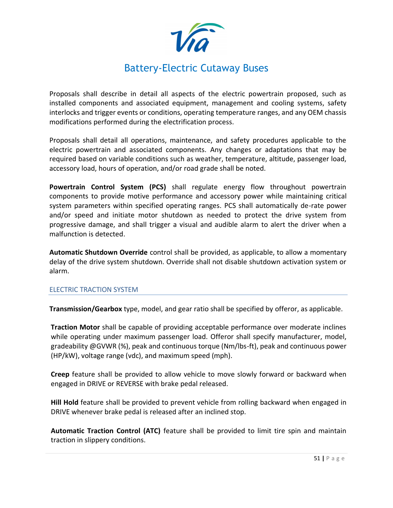

Proposals shall describe in detail all aspects of the electric powertrain proposed, such as installed components and associated equipment, management and cooling systems, safety interlocks and trigger events or conditions, operating temperature ranges, and any OEM chassis modifications performed during the electrification process.

Proposals shall detail all operations, maintenance, and safety procedures applicable to the electric powertrain and associated components. Any changes or adaptations that may be required based on variable conditions such as weather, temperature, altitude, passenger load, accessory load, hours of operation, and/or road grade shall be noted.

**Powertrain Control System (PCS)** shall regulate energy flow throughout powertrain components to provide motive performance and accessory power while maintaining critical system parameters within specified operating ranges. PCS shall automatically de-rate power and/or speed and initiate motor shutdown as needed to protect the drive system from progressive damage, and shall trigger a visual and audible alarm to alert the driver when a malfunction is detected.

**Automatic Shutdown Override** control shall be provided, as applicable, to allow a momentary delay of the drive system shutdown. Override shall not disable shutdown activation system or alarm.

### ELECTRIC TRACTION SYSTEM

**Transmission/Gearbox** type, model, and gear ratio shall be specified by offeror, as applicable.

**Traction Motor** shall be capable of providing acceptable performance over moderate inclines while operating under maximum passenger load. Offeror shall specify manufacturer, model, gradeability @GVWR (%), peak and continuous torque (Nm/lbs-ft), peak and continuous power (HP/kW), voltage range (vdc), and maximum speed (mph).

**Creep** feature shall be provided to allow vehicle to move slowly forward or backward when engaged in DRIVE or REVERSE with brake pedal released.

**Hill Hold** feature shall be provided to prevent vehicle from rolling backward when engaged in DRIVE whenever brake pedal is released after an inclined stop.

**Automatic Traction Control (ATC)** feature shall be provided to limit tire spin and maintain traction in slippery conditions.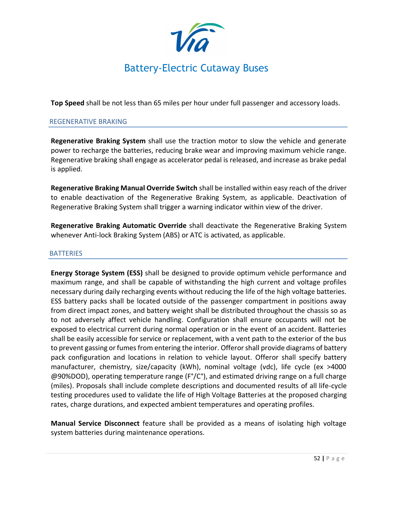

**Top Speed** shall be not less than 65 miles per hour under full passenger and accessory loads.

### REGENERATIVE BRAKING

**Regenerative Braking System** shall use the traction motor to slow the vehicle and generate power to recharge the batteries, reducing brake wear and improving maximum vehicle range. Regenerative braking shall engage as accelerator pedal is released, and increase as brake pedal is applied.

**Regenerative Braking Manual Override Switch** shall be installed within easy reach of the driver to enable deactivation of the Regenerative Braking System, as applicable. Deactivation of Regenerative Braking System shall trigger a warning indicator within view of the driver.

**Regenerative Braking Automatic Override** shall deactivate the Regenerative Braking System whenever Anti-lock Braking System (ABS) or ATC is activated, as applicable.

### **BATTERIES**

**Energy Storage System (ESS)** shall be designed to provide optimum vehicle performance and maximum range, and shall be capable of withstanding the high current and voltage profiles necessary during daily recharging events without reducing the life of the high voltage batteries. ESS battery packs shall be located outside of the passenger compartment in positions away from direct impact zones, and battery weight shall be distributed throughout the chassis so as to not adversely affect vehicle handling. Configuration shall ensure occupants will not be exposed to electrical current during normal operation or in the event of an accident. Batteries shall be easily accessible for service or replacement, with a vent path to the exterior of the bus to prevent gassing or fumes from entering the interior. Offeror shall provide diagrams of battery pack configuration and locations in relation to vehicle layout. Offeror shall specify battery manufacturer, chemistry, size/capacity (kWh), nominal voltage (vdc), life cycle (ex >4000 @90%DOD), operating temperature range (F°/C°), and estimated driving range on a full charge (miles). Proposals shall include complete descriptions and documented results of all life-cycle testing procedures used to validate the life of High Voltage Batteries at the proposed charging rates, charge durations, and expected ambient temperatures and operating profiles.

**Manual Service Disconnect** feature shall be provided as a means of isolating high voltage system batteries during maintenance operations.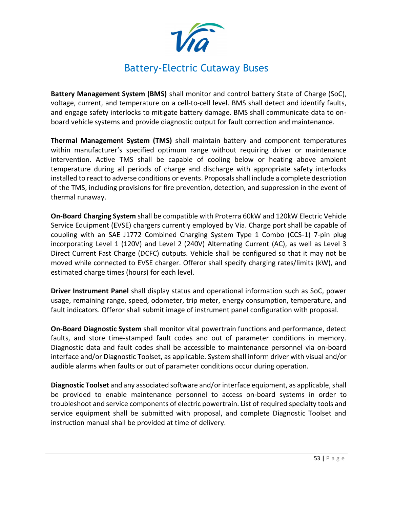

**Battery Management System (BMS)** shall monitor and control battery State of Charge (SoC), voltage, current, and temperature on a cell-to-cell level. BMS shall detect and identify faults, and engage safety interlocks to mitigate battery damage. BMS shall communicate data to onboard vehicle systems and provide diagnostic output for fault correction and maintenance.

**Thermal Management System (TMS)** shall maintain battery and component temperatures within manufacturer's specified optimum range without requiring driver or maintenance intervention. Active TMS shall be capable of cooling below or heating above ambient temperature during all periods of charge and discharge with appropriate safety interlocks installed to react to adverse conditions or events. Proposals shall include a complete description of the TMS, including provisions for fire prevention, detection, and suppression in the event of thermal runaway.

**On-Board Charging System** shall be compatible with Proterra 60kW and 120kW Electric Vehicle Service Equipment (EVSE) chargers currently employed by Via. Charge port shall be capable of coupling with an SAE J1772 Combined Charging System Type 1 Combo (CCS-1) 7-pin plug incorporating Level 1 (120V) and Level 2 (240V) Alternating Current (AC), as well as Level 3 Direct Current Fast Charge (DCFC) outputs. Vehicle shall be configured so that it may not be moved while connected to EVSE charger. Offeror shall specify charging rates/limits (kW), and estimated charge times (hours) for each level.

**Driver Instrument Panel** shall display status and operational information such as SoC, power usage, remaining range, speed, odometer, trip meter, energy consumption, temperature, and fault indicators. Offeror shall submit image of instrument panel configuration with proposal.

**On-Board Diagnostic System** shall monitor vital powertrain functions and performance, detect faults, and store time-stamped fault codes and out of parameter conditions in memory. Diagnostic data and fault codes shall be accessible to maintenance personnel via on-board interface and/or Diagnostic Toolset, as applicable. System shall inform driver with visual and/or audible alarms when faults or out of parameter conditions occur during operation.

**Diagnostic Toolset** and any associated software and/or interface equipment, as applicable, shall be provided to enable maintenance personnel to access on-board systems in order to troubleshoot and service components of electric powertrain. List of required specialty tools and service equipment shall be submitted with proposal, and complete Diagnostic Toolset and instruction manual shall be provided at time of delivery.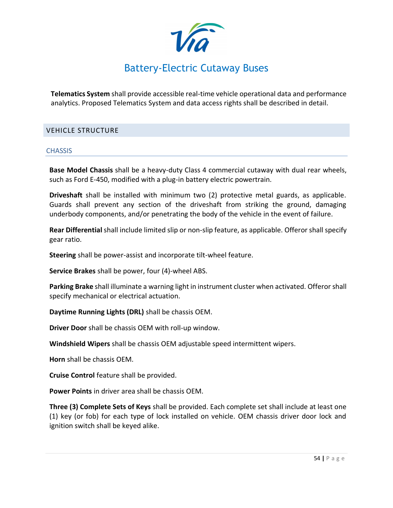

**Telematics System** shall provide accessible real-time vehicle operational data and performance analytics. Proposed Telematics System and data access rights shall be described in detail.

### <span id="page-48-0"></span>VEHICLE STRUCTURE

### **CHASSIS**

**Base Model Chassis** shall be a heavy-duty Class 4 commercial cutaway with dual rear wheels, such as Ford E-450, modified with a plug-in battery electric powertrain.

**Driveshaft** shall be installed with minimum two (2) protective metal guards, as applicable. Guards shall prevent any section of the driveshaft from striking the ground, damaging underbody components, and/or penetrating the body of the vehicle in the event of failure.

**Rear Differential** shall include limited slip or non-slip feature, as applicable. Offeror shall specify gear ratio.

**Steering** shall be power-assist and incorporate tilt-wheel feature.

**Service Brakes** shall be power, four (4)-wheel ABS.

**Parking Brake** shall illuminate a warning light in instrument cluster when activated. Offeror shall specify mechanical or electrical actuation.

**Daytime Running Lights (DRL)** shall be chassis OEM.

**Driver Door** shall be chassis OEM with roll-up window.

**Windshield Wipers** shall be chassis OEM adjustable speed intermittent wipers.

**Horn** shall be chassis OEM.

**Cruise Control** feature shall be provided.

**Power Points** in driver area shall be chassis OEM.

**Three (3) Complete Sets of Keys** shall be provided. Each complete set shall include at least one (1) key (or fob) for each type of lock installed on vehicle. OEM chassis driver door lock and ignition switch shall be keyed alike.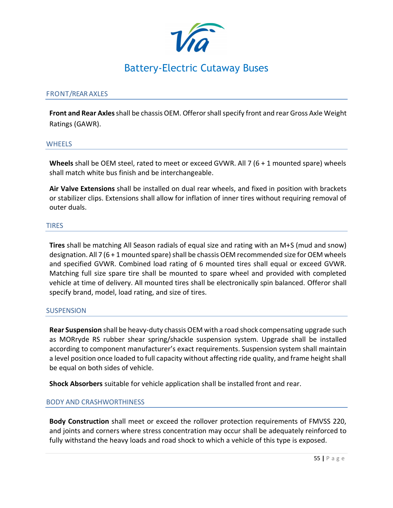

### FRONT/REAR AXLES

**Front and Rear Axles** shall be chassis OEM. Offerorshall specify front and rear Gross Axle Weight Ratings (GAWR).

#### **WHEELS**

**Wheels** shall be OEM steel, rated to meet or exceed GVWR. All 7 (6 + 1 mounted spare) wheels shall match white bus finish and be interchangeable.

**Air Valve Extensions** shall be installed on dual rear wheels, and fixed in position with brackets or stabilizer clips. Extensions shall allow for inflation of inner tires without requiring removal of outer duals.

### TIRES

**Tires** shall be matching All Season radials of equal size and rating with an M+S (mud and snow) designation. All 7 (6 + 1 mounted spare) shall be chassis OEM recommended size for OEM wheels and specified GVWR. Combined load rating of 6 mounted tires shall equal or exceed GVWR. Matching full size spare tire shall be mounted to spare wheel and provided with completed vehicle at time of delivery. All mounted tires shall be electronically spin balanced. Offeror shall specify brand, model, load rating, and size of tires.

### **SUSPENSION**

**Rear Suspension** shall be heavy-duty chassis OEM with a road shock compensating upgrade such as MORryde RS rubber shear spring/shackle suspension system. Upgrade shall be installed according to component manufacturer's exact requirements. Suspension system shall maintain a level position once loaded to full capacity without affecting ride quality, and frame height shall be equal on both sides of vehicle.

**Shock Absorbers** suitable for vehicle application shall be installed front and rear.

### BODY AND CRASHWORTHINESS

**Body Construction** shall meet or exceed the rollover protection requirements of FMVSS 220, and joints and corners where stress concentration may occur shall be adequately reinforced to fully withstand the heavy loads and road shock to which a vehicle of this type is exposed.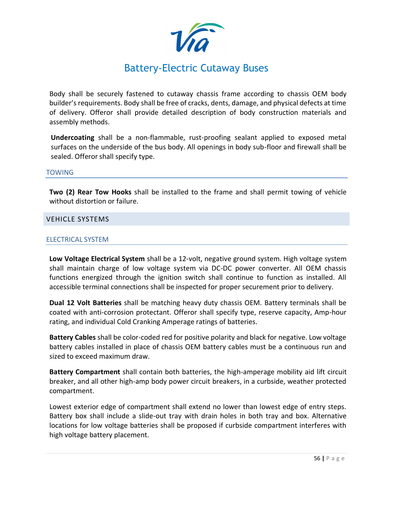

Body shall be securely fastened to cutaway chassis frame according to chassis OEM body builder's requirements. Body shall be free of cracks, dents, damage, and physical defects at time of delivery. Offeror shall provide detailed description of body construction materials and assembly methods.

**Undercoating** shall be a non-flammable, rust-proofing sealant applied to exposed metal surfaces on the underside of the bus body. All openings in body sub-floor and firewall shall be sealed. Offeror shall specify type.

### TOWING

**Two (2) Rear Tow Hooks** shall be installed to the frame and shall permit towing of vehicle without distortion or failure.

### <span id="page-50-0"></span>VEHICLE SYSTEMS

### ELECTRICAL SYSTEM

**Low Voltage Electrical System** shall be a 12-volt, negative ground system. High voltage system shall maintain charge of low voltage system via DC-DC power converter. All OEM chassis functions energized through the ignition switch shall continue to function as installed. All accessible terminal connections shall be inspected for proper securement prior to delivery.

**Dual 12 Volt Batteries** shall be matching heavy duty chassis OEM. Battery terminals shall be coated with anti-corrosion protectant. Offeror shall specify type, reserve capacity, Amp-hour rating, and individual Cold Cranking Amperage ratings of batteries.

**Battery Cables** shall be color-coded red for positive polarity and black for negative. Low voltage battery cables installed in place of chassis OEM battery cables must be a continuous run and sized to exceed maximum draw.

**Battery Compartment** shall contain both batteries, the high-amperage mobility aid lift circuit breaker, and all other high-amp body power circuit breakers, in a curbside, weather protected compartment.

Lowest exterior edge of compartment shall extend no lower than lowest edge of entry steps. Battery box shall include a slide-out tray with drain holes in both tray and box. Alternative locations for low voltage batteries shall be proposed if curbside compartment interferes with high voltage battery placement.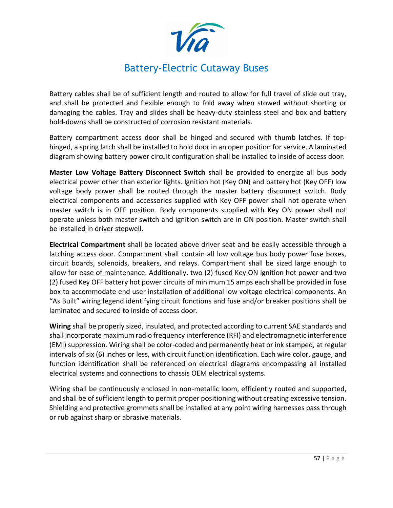

Battery cables shall be of sufficient length and routed to allow for full travel of slide out tray, and shall be protected and flexible enough to fold away when stowed without shorting or damaging the cables. Tray and slides shall be heavy-duty stainless steel and box and battery hold-downs shall be constructed of corrosion resistant materials.

Battery compartment access door shall be hinged and secured with thumb latches. If tophinged, a spring latch shall be installed to hold door in an open position for service. A laminated diagram showing battery power circuit configuration shall be installed to inside of access door.

**Master Low Voltage Battery Disconnect Switch** shall be provided to energize all bus body electrical power other than exterior lights. Ignition hot (Key ON) and battery hot (Key OFF) low voltage body power shall be routed through the master battery disconnect switch. Body electrical components and accessories supplied with Key OFF power shall not operate when master switch is in OFF position. Body components supplied with Key ON power shall not operate unless both master switch and ignition switch are in ON position. Master switch shall be installed in driver stepwell.

**Electrical Compartment** shall be located above driver seat and be easily accessible through a latching access door. Compartment shall contain all low voltage bus body power fuse boxes, circuit boards, solenoids, breakers, and relays. Compartment shall be sized large enough to allow for ease of maintenance. Additionally, two (2) fused Key ON ignition hot power and two (2) fused Key OFF battery hot power circuits of minimum 15 amps each shall be provided in fuse box to accommodate end user installation of additional low voltage electrical components. An "As Built" wiring legend identifying circuit functions and fuse and/or breaker positions shall be laminated and secured to inside of access door.

**Wiring** shall be properly sized, insulated, and protected according to current SAE standards and shall incorporate maximum radio frequency interference (RFI) and electromagnetic interference (EMI) suppression. Wiring shall be color-coded and permanently heat or ink stamped, at regular intervals of six (6) inches or less, with circuit function identification. Each wire color, gauge, and function identification shall be referenced on electrical diagrams encompassing all installed electrical systems and connections to chassis OEM electrical systems.

Wiring shall be continuously enclosed in non-metallic loom, efficiently routed and supported, and shall be of sufficient length to permit proper positioning without creating excessive tension. Shielding and protective grommets shall be installed at any point wiring harnesses pass through or rub against sharp or abrasive materials.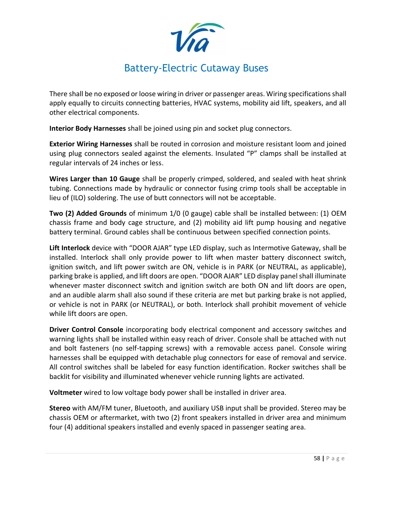

There shall be no exposed or loose wiring in driver or passenger areas. Wiring specifications shall apply equally to circuits connecting batteries, HVAC systems, mobility aid lift, speakers, and all other electrical components.

**Interior Body Harnesses** shall be joined using pin and socket plug connectors.

**Exterior Wiring Harnesses** shall be routed in corrosion and moisture resistant loom and joined using plug connectors sealed against the elements. Insulated "P" clamps shall be installed at regular intervals of 24 inches or less.

**Wires Larger than 10 Gauge** shall be properly crimped, soldered, and sealed with heat shrink tubing. Connections made by hydraulic or connector fusing crimp tools shall be acceptable in lieu of (ILO) soldering. The use of butt connectors will not be acceptable.

**Two (2) Added Grounds** of minimum 1/0 (0 gauge) cable shall be installed between: (1) OEM chassis frame and body cage structure, and (2) mobility aid lift pump housing and negative battery terminal. Ground cables shall be continuous between specified connection points.

**Lift Interlock** device with "DOOR AJAR" type LED display, such as Intermotive Gateway, shall be installed. Interlock shall only provide power to lift when master battery disconnect switch, ignition switch, and lift power switch are ON, vehicle is in PARK (or NEUTRAL, as applicable), parking brake is applied, and lift doors are open. "DOOR AJAR" LED display panel shall illuminate whenever master disconnect switch and ignition switch are both ON and lift doors are open, and an audible alarm shall also sound if these criteria are met but parking brake is not applied, or vehicle is not in PARK (or NEUTRAL), or both. Interlock shall prohibit movement of vehicle while lift doors are open.

**Driver Control Console** incorporating body electrical component and accessory switches and warning lights shall be installed within easy reach of driver. Console shall be attached with nut and bolt fasteners (no self-tapping screws) with a removable access panel. Console wiring harnesses shall be equipped with detachable plug connectors for ease of removal and service. All control switches shall be labeled for easy function identification. Rocker switches shall be backlit for visibility and illuminated whenever vehicle running lights are activated.

**Voltmeter** wired to low voltage body power shall be installed in driver area.

**Stereo** with AM/FM tuner, Bluetooth, and auxiliary USB input shall be provided. Stereo may be chassis OEM or aftermarket, with two (2) front speakers installed in driver area and minimum four (4) additional speakers installed and evenly spaced in passenger seating area.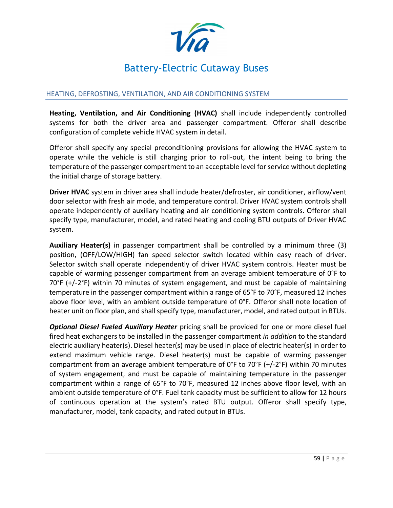

### HEATING, DEFROSTING, VENTILATION, AND AIR CONDITIONING SYSTEM

**Heating, Ventilation, and Air Conditioning (HVAC)** shall include independently controlled systems for both the driver area and passenger compartment. Offeror shall describe configuration of complete vehicle HVAC system in detail.

Offeror shall specify any special preconditioning provisions for allowing the HVAC system to operate while the vehicle is still charging prior to roll-out, the intent being to bring the temperature of the passenger compartment to an acceptable level for service without depleting the initial charge of storage battery.

**Driver HVAC** system in driver area shall include heater/defroster, air conditioner, airflow/vent door selector with fresh air mode, and temperature control. Driver HVAC system controls shall operate independently of auxiliary heating and air conditioning system controls. Offeror shall specify type, manufacturer, model, and rated heating and cooling BTU outputs of Driver HVAC system.

**Auxiliary Heater(s)** in passenger compartment shall be controlled by a minimum three (3) position, (OFF/LOW/HIGH) fan speed selector switch located within easy reach of driver. Selector switch shall operate independently of driver HVAC system controls. Heater must be capable of warming passenger compartment from an average ambient temperature of  $0^\circ$ F to 70°F (+/-2°F) within 70 minutes of system engagement, and must be capable of maintaining temperature in the passenger compartment within a range of 65°F to 70°F, measured 12 inches above floor level, with an ambient outside temperature of 0°F. Offeror shall note location of heater unit on floor plan, and shall specify type, manufacturer, model, and rated output in BTUs.

*Optional Diesel Fueled Auxiliary Heater* pricing shall be provided for one or more diesel fuel fired heat exchangers to be installed in the passenger compartment *in addition* to the standard electric auxiliary heater(s). Diesel heater(s) may be used in place of electric heater(s) in order to extend maximum vehicle range. Diesel heater(s) must be capable of warming passenger compartment from an average ambient temperature of  $0^\circ$ F to  $70^\circ$ F (+/-2 $^\circ$ F) within 70 minutes of system engagement, and must be capable of maintaining temperature in the passenger compartment within a range of 65°F to 70°F, measured 12 inches above floor level, with an ambient outside temperature of 0°F. Fuel tank capacity must be sufficient to allow for 12 hours of continuous operation at the system's rated BTU output. Offeror shall specify type, manufacturer, model, tank capacity, and rated output in BTUs.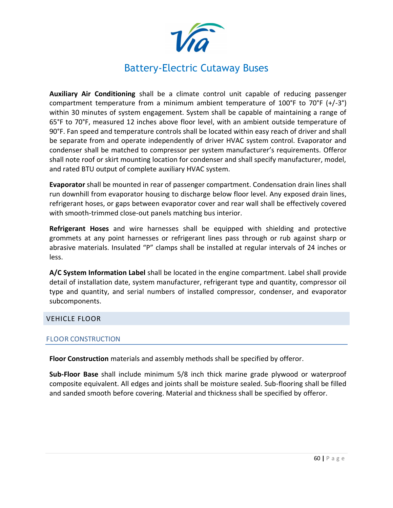

**Auxiliary Air Conditioning** shall be a climate control unit capable of reducing passenger compartment temperature from a minimum ambient temperature of  $100^{\circ}$ F to  $70^{\circ}$ F (+/-3 $^{\circ}$ ) within 30 minutes of system engagement. System shall be capable of maintaining a range of 65°F to 70°F, measured 12 inches above floor level, with an ambient outside temperature of 90°F. Fan speed and temperature controls shall be located within easy reach of driver and shall be separate from and operate independently of driver HVAC system control. Evaporator and condenser shall be matched to compressor per system manufacturer's requirements. Offeror shall note roof or skirt mounting location for condenser and shall specify manufacturer, model, and rated BTU output of complete auxiliary HVAC system.

**Evaporator** shall be mounted in rear of passenger compartment. Condensation drain lines shall run downhill from evaporator housing to discharge below floor level. Any exposed drain lines, refrigerant hoses, or gaps between evaporator cover and rear wall shall be effectively covered with smooth-trimmed close-out panels matching bus interior.

**Refrigerant Hoses** and wire harnesses shall be equipped with shielding and protective grommets at any point harnesses or refrigerant lines pass through or rub against sharp or abrasive materials. Insulated "P" clamps shall be installed at regular intervals of 24 inches or less.

**A/C System Information Label** shall be located in the engine compartment. Label shall provide detail of installation date, system manufacturer, refrigerant type and quantity, compressor oil type and quantity, and serial numbers of installed compressor, condenser, and evaporator subcomponents.

### <span id="page-54-0"></span>VEHICLE FLOOR

### FLOOR CONSTRUCTION

**Floor Construction** materials and assembly methods shall be specified by offeror.

**Sub-Floor Base** shall include minimum 5/8 inch thick marine grade plywood or waterproof composite equivalent. All edges and joints shall be moisture sealed. Sub-flooring shall be filled and sanded smooth before covering. Material and thickness shall be specified by offeror.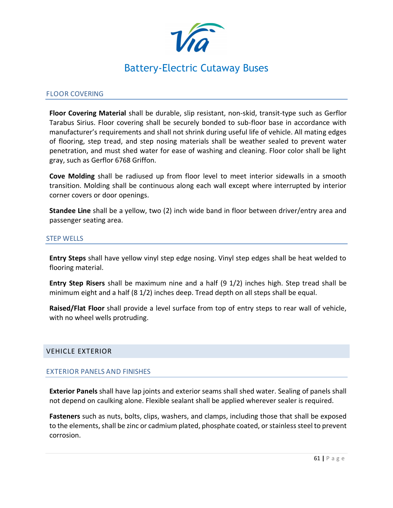

### FLOOR COVERING

**Floor Covering Material** shall be durable, slip resistant, non-skid, transit-type such as Gerflor Tarabus Sirius. Floor covering shall be securely bonded to sub-floor base in accordance with manufacturer's requirements and shall not shrink during useful life of vehicle. All mating edges of flooring, step tread, and step nosing materials shall be weather sealed to prevent water penetration, and must shed water for ease of washing and cleaning. Floor color shall be light gray, such as Gerflor 6768 Griffon.

**Cove Molding** shall be radiused up from floor level to meet interior sidewalls in a smooth transition. Molding shall be continuous along each wall except where interrupted by interior corner covers or door openings.

**Standee Line** shall be a yellow, two (2) inch wide band in floor between driver/entry area and passenger seating area.

### STEP WELLS

**Entry Steps** shall have yellow vinyl step edge nosing. Vinyl step edges shall be heat welded to flooring material.

**Entry Step Risers** shall be maximum nine and a half (9 1/2) inches high. Step tread shall be minimum eight and a half (8 1/2) inches deep. Tread depth on all steps shall be equal.

**Raised/Flat Floor** shall provide a level surface from top of entry steps to rear wall of vehicle, with no wheel wells protruding.

### <span id="page-55-0"></span>VEHICLE EXTERIOR

### EXTERIOR PANELS AND FINISHES

**Exterior Panels** shall have lap joints and exterior seams shall shed water. Sealing of panels shall not depend on caulking alone. Flexible sealant shall be applied wherever sealer is required.

**Fasteners** such as nuts, bolts, clips, washers, and clamps, including those that shall be exposed to the elements, shall be zinc or cadmium plated, phosphate coated, or stainless steel to prevent corrosion.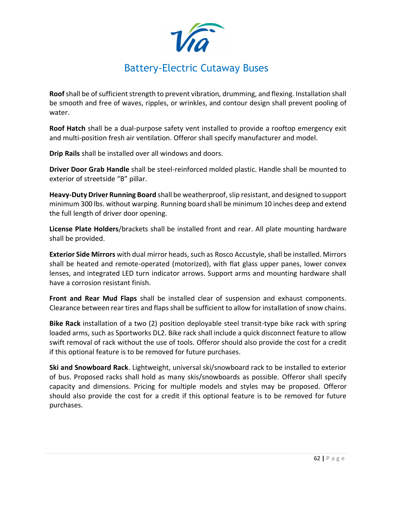**Roof** shall be of sufficient strength to prevent vibration, drumming, and flexing. Installation shall be smooth and free of waves, ripples, or wrinkles, and contour design shall prevent pooling of water.

**Roof Hatch** shall be a dual-purpose safety vent installed to provide a rooftop emergency exit and multi-position fresh air ventilation. Offeror shall specify manufacturer and model.

**Drip Rails** shall be installed over all windows and doors.

**Driver Door Grab Handle** shall be steel-reinforced molded plastic. Handle shall be mounted to exterior of streetside "B" pillar.

**Heavy-Duty Driver Running Board** shall be weatherproof, slip resistant, and designed to support minimum 300 lbs. without warping. Running board shall be minimum 10 inches deep and extend the full length of driver door opening.

**License Plate Holders**/brackets shall be installed front and rear. All plate mounting hardware shall be provided.

**Exterior Side Mirrors** with dual mirror heads, such as Rosco Accustyle, shall be installed. Mirrors shall be heated and remote-operated (motorized), with flat glass upper panes, lower convex lenses, and integrated LED turn indicator arrows. Support arms and mounting hardware shall have a corrosion resistant finish.

**Front and Rear Mud Flaps** shall be installed clear of suspension and exhaust components. Clearance between rear tires and flaps shall be sufficient to allow for installation of snow chains.

**Bike Rack** installation of a two (2) position deployable steel transit-type bike rack with spring loaded arms, such as Sportworks DL2. Bike rack shall include a quick disconnect feature to allow swift removal of rack without the use of tools. Offeror should also provide the cost for a credit if this optional feature is to be removed for future purchases.

**Ski and Snowboard Rack**. Lightweight, universal ski/snowboard rack to be installed to exterior of bus. Proposed racks shall hold as many skis/snowboards as possible. Offeror shall specify capacity and dimensions. Pricing for multiple models and styles may be proposed. Offeror should also provide the cost for a credit if this optional feature is to be removed for future purchases.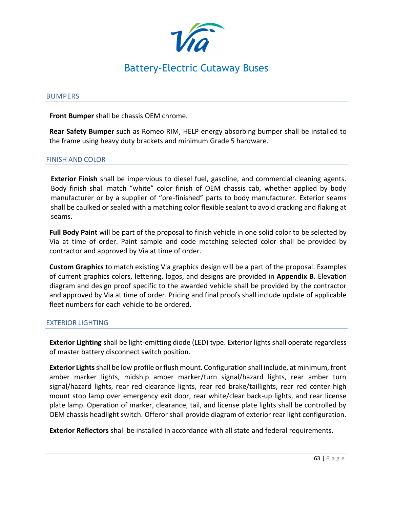

#### BUMPERS

**Front Bumper** shall be chassis OEM chrome.

**Rear Safety Bumper** such as Romeo RIM, HELP energy absorbing bumper shall be installed to the frame using heavy duty brackets and minimum Grade 5 hardware.

### FINISH AND COLOR

**Exterior Finish** shall be impervious to diesel fuel, gasoline, and commercial cleaning agents. Body finish shall match "white" color finish of OEM chassis cab, whether applied by body manufacturer or by a supplier of "pre-finished" parts to body manufacturer. Exterior seams shall be caulked or sealed with a matching color flexible sealant to avoid cracking and flaking at seams.

**Full Body Paint** will be part of the proposal to finish vehicle in one solid color to be selected by Via at time of order. Paint sample and code matching selected color shall be provided by contractor and approved by Via at time of order.

**Custom Graphics** to match existing Via graphics design will be a part of the proposal. Examples of current graphics colors, lettering, logos, and designs are provided in **Appendix B**. Elevation diagram and design proof specific to the awarded vehicle shall be provided by the contractor and approved by Via at time of order. Pricing and final proofs shall include update of applicable fleet numbers for each vehicle to be ordered.

### EXTERIOR LIGHTING

**Exterior Lighting** shall be light-emitting diode (LED) type. Exterior lights shall operate regardless of master battery disconnect switch position.

**Exterior Lights**shall be low profile or flush mount. Configuration shall include, at minimum, front amber marker lights, midship amber marker/turn signal/hazard lights, rear amber turn signal/hazard lights, rear red clearance lights, rear red brake/taillights, rear red center high mount stop lamp over emergency exit door, rear white/clear back-up lights, and rear license plate lamp. Operation of marker, clearance, tail, and license plate lights shall be controlled by OEM chassis headlight switch. Offeror shall provide diagram of exterior rear light configuration.

**Exterior Reflectors** shall be installed in accordance with all state and federal requirements.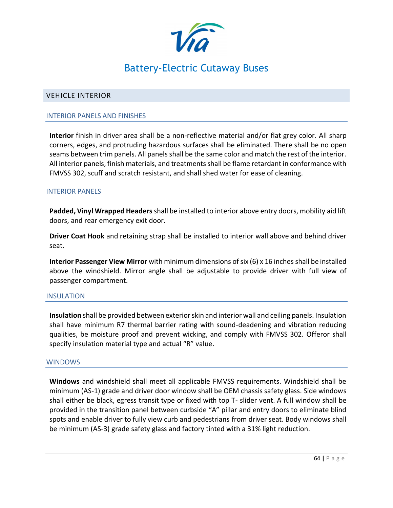

### <span id="page-58-0"></span>VEHICLE INTERIOR

### INTERIOR PANELS AND FINISHES

**Interior** finish in driver area shall be a non-reflective material and/or flat grey color. All sharp corners, edges, and protruding hazardous surfaces shall be eliminated. There shall be no open seams between trim panels. All panels shall be the same color and match the rest of the interior. All interior panels, finish materials, and treatments shall be flame retardant in conformance with FMVSS 302, scuff and scratch resistant, and shall shed water for ease of cleaning.

### INTERIOR PANELS

**Padded, Vinyl Wrapped Headers** shall be installed to interior above entry doors, mobility aid lift doors, and rear emergency exit door.

**Driver Coat Hook** and retaining strap shall be installed to interior wall above and behind driver seat.

**Interior Passenger View Mirror** with minimum dimensions of six (6) x 16 inches shall be installed above the windshield. Mirror angle shall be adjustable to provide driver with full view of passenger compartment.

### INSULATION

**Insulation** shall be provided between exterior skin and interior wall and ceiling panels. Insulation shall have minimum R7 thermal barrier rating with sound-deadening and vibration reducing qualities, be moisture proof and prevent wicking, and comply with FMVSS 302. Offeror shall specify insulation material type and actual "R" value.

### WINDOWS

**Windows** and windshield shall meet all applicable FMVSS requirements. Windshield shall be minimum (AS-1) grade and driver door window shall be OEM chassis safety glass. Side windows shall either be black, egress transit type or fixed with top T- slider vent. A full window shall be provided in the transition panel between curbside "A" pillar and entry doors to eliminate blind spots and enable driver to fully view curb and pedestrians from driver seat. Body windows shall be minimum (AS-3) grade safety glass and factory tinted with a 31% light reduction.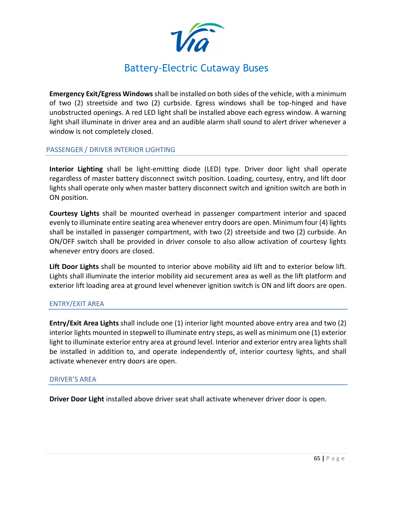

**Emergency Exit/Egress Windows** shall be installed on both sides of the vehicle, with a minimum of two (2) streetside and two (2) curbside. Egress windows shall be top-hinged and have unobstructed openings. A red LED light shall be installed above each egress window. A warning light shall illuminate in driver area and an audible alarm shall sound to alert driver whenever a window is not completely closed.

### PASSENGER / DRIVER INTERIOR LIGHTING

**Interior Lighting** shall be light-emitting diode (LED) type. Driver door light shall operate regardless of master battery disconnect switch position. Loading, courtesy, entry, and lift door lights shall operate only when master battery disconnect switch and ignition switch are both in ON position.

**Courtesy Lights** shall be mounted overhead in passenger compartment interior and spaced evenly to illuminate entire seating area whenever entry doors are open. Minimum four (4) lights shall be installed in passenger compartment, with two (2) streetside and two (2) curbside. An ON/OFF switch shall be provided in driver console to also allow activation of courtesy lights whenever entry doors are closed.

**Lift Door Lights** shall be mounted to interior above mobility aid lift and to exterior below lift. Lights shall illuminate the interior mobility aid securement area as well as the lift platform and exterior lift loading area at ground level whenever ignition switch is ON and lift doors are open.

### ENTRY/EXIT AREA

**Entry/Exit Area Lights** shall include one (1) interior light mounted above entry area and two (2) interior lights mounted in stepwell to illuminate entry steps, as well as minimum one (1) exterior light to illuminate exterior entry area at ground level. Interior and exterior entry area lights shall be installed in addition to, and operate independently of, interior courtesy lights, and shall activate whenever entry doors are open.

### DRIVER'S AREA

**Driver Door Light** installed above driver seat shall activate whenever driver door is open.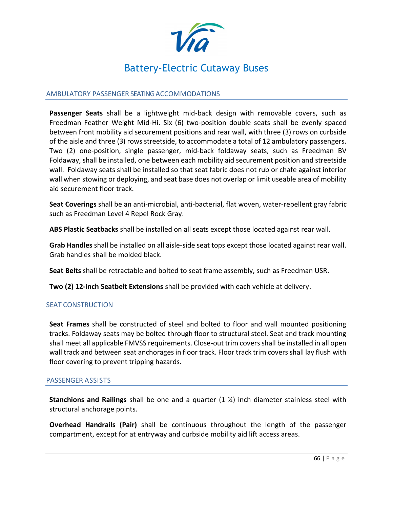

### AMBULATORY PASSENGER SEATING ACCOMMODATIONS

**Passenger Seats** shall be a lightweight mid-back design with removable covers, such as Freedman Feather Weight Mid-Hi. Six (6) two-position double seats shall be evenly spaced between front mobility aid securement positions and rear wall, with three (3) rows on curbside of the aisle and three (3) rows streetside, to accommodate a total of 12 ambulatory passengers. Two (2) one-position, single passenger, mid-back foldaway seats, such as Freedman BV Foldaway, shall be installed, one between each mobility aid securement position and streetside wall. Foldaway seats shall be installed so that seat fabric does not rub or chafe against interior wall when stowing or deploying, and seat base does not overlap or limit useable area of mobility aid securement floor track.

**Seat Coverings** shall be an anti-microbial, anti-bacterial, flat woven, water-repellent gray fabric such as Freedman Level 4 Repel Rock Gray.

**ABS Plastic Seatbacks** shall be installed on all seats except those located against rear wall.

**Grab Handles** shall be installed on all aisle-side seat tops except those located against rear wall. Grab handles shall be molded black.

**Seat Belts** shall be retractable and bolted to seat frame assembly, such as Freedman USR.

**Two (2) 12-inch Seatbelt Extensions** shall be provided with each vehicle at delivery.

### SEAT CONSTRUCTION

**Seat Frames** shall be constructed of steel and bolted to floor and wall mounted positioning tracks. Foldaway seats may be bolted through floor to structural steel. Seat and track mounting shall meet all applicable FMVSS requirements. Close-out trim covers shall be installed in all open wall track and between seat anchorages in floor track. Floor track trim covers shall lay flush with floor covering to prevent tripping hazards.

### PASSENGER ASSISTS

**Stanchions and Railings** shall be one and a quarter (1 ¼) inch diameter stainless steel with structural anchorage points.

**Overhead Handrails (Pair)** shall be continuous throughout the length of the passenger compartment, except for at entryway and curbside mobility aid lift access areas.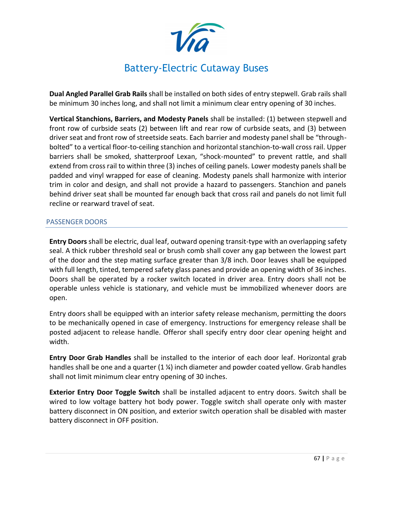

**Dual Angled Parallel Grab Rails** shall be installed on both sides of entry stepwell. Grab rails shall be minimum 30 inches long, and shall not limit a minimum clear entry opening of 30 inches.

**Vertical Stanchions, Barriers, and Modesty Panels** shall be installed: (1) between stepwell and front row of curbside seats (2) between lift and rear row of curbside seats, and (3) between driver seat and front row of streetside seats. Each barrier and modesty panel shall be "throughbolted" to a vertical floor-to-ceiling stanchion and horizontal stanchion-to-wall cross rail. Upper barriers shall be smoked, shatterproof Lexan, "shock-mounted" to prevent rattle, and shall extend from cross rail to within three (3) inches of ceiling panels. Lower modesty panels shall be padded and vinyl wrapped for ease of cleaning. Modesty panels shall harmonize with interior trim in color and design, and shall not provide a hazard to passengers. Stanchion and panels behind driver seat shall be mounted far enough back that cross rail and panels do not limit full recline or rearward travel of seat.

### PASSENGER DOORS

**Entry Doors** shall be electric, dual leaf, outward opening transit-type with an overlapping safety seal. A thick rubber threshold seal or brush comb shall cover any gap between the lowest part of the door and the step mating surface greater than 3/8 inch. Door leaves shall be equipped with full length, tinted, tempered safety glass panes and provide an opening width of 36 inches. Doors shall be operated by a rocker switch located in driver area. Entry doors shall not be operable unless vehicle is stationary, and vehicle must be immobilized whenever doors are open.

Entry doors shall be equipped with an interior safety release mechanism, permitting the doors to be mechanically opened in case of emergency. Instructions for emergency release shall be posted adjacent to release handle. Offeror shall specify entry door clear opening height and width.

**Entry Door Grab Handles** shall be installed to the interior of each door leaf. Horizontal grab handles shall be one and a quarter  $(1 \mathcal{U})$  inch diameter and powder coated yellow. Grab handles shall not limit minimum clear entry opening of 30 inches.

**Exterior Entry Door Toggle Switch** shall be installed adjacent to entry doors. Switch shall be wired to low voltage battery hot body power. Toggle switch shall operate only with master battery disconnect in ON position, and exterior switch operation shall be disabled with master battery disconnect in OFF position.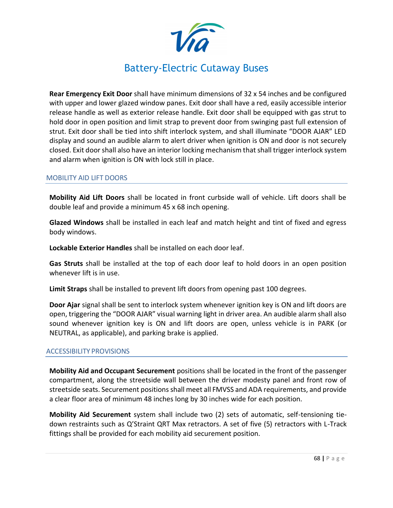

**Rear Emergency Exit Door** shall have minimum dimensions of 32 x 54 inches and be configured with upper and lower glazed window panes. Exit door shall have a red, easily accessible interior release handle as well as exterior release handle. Exit door shall be equipped with gas strut to hold door in open position and limit strap to prevent door from swinging past full extension of strut. Exit door shall be tied into shift interlock system, and shall illuminate "DOOR AJAR" LED display and sound an audible alarm to alert driver when ignition is ON and door is not securely closed. Exit door shall also have an interior locking mechanism that shall trigger interlock system and alarm when ignition is ON with lock still in place.

### MOBILITY AID LIFT DOORS

**Mobility Aid Lift Doors** shall be located in front curbside wall of vehicle. Lift doors shall be double leaf and provide a minimum 45 x 68 inch opening.

**Glazed Windows** shall be installed in each leaf and match height and tint of fixed and egress body windows.

**Lockable Exterior Handles** shall be installed on each door leaf.

**Gas Struts** shall be installed at the top of each door leaf to hold doors in an open position whenever lift is in use.

**Limit Straps** shall be installed to prevent lift doors from opening past 100 degrees.

**Door Ajar** signal shall be sent to interlock system whenever ignition key is ON and lift doors are open, triggering the "DOOR AJAR" visual warning light in driver area. An audible alarm shall also sound whenever ignition key is ON and lift doors are open, unless vehicle is in PARK (or NEUTRAL, as applicable), and parking brake is applied.

### ACCESSIBILITY PROVISIONS

**Mobility Aid and Occupant Securement** positions shall be located in the front of the passenger compartment, along the streetside wall between the driver modesty panel and front row of streetside seats. Securement positions shall meet all FMVSS and ADA requirements, and provide a clear floor area of minimum 48 inches long by 30 inches wide for each position.

**Mobility Aid Securement** system shall include two (2) sets of automatic, self-tensioning tiedown restraints such as Q'Straint QRT Max retractors. A set of five (5) retractors with L-Track fittings shall be provided for each mobility aid securement position.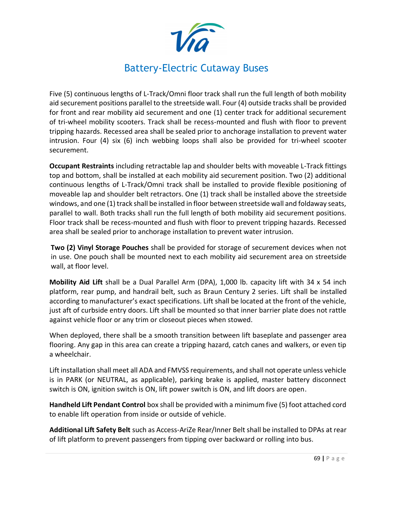

Five (5) continuous lengths of L-Track/Omni floor track shall run the full length of both mobility aid securement positions parallel to the streetside wall. Four (4) outside tracks shall be provided for front and rear mobility aid securement and one (1) center track for additional securement of tri-wheel mobility scooters. Track shall be recess-mounted and flush with floor to prevent tripping hazards. Recessed area shall be sealed prior to anchorage installation to prevent water intrusion. Four (4) six (6) inch webbing loops shall also be provided for tri-wheel scooter securement.

**Occupant Restraints** including retractable lap and shoulder belts with moveable L-Track fittings top and bottom, shall be installed at each mobility aid securement position. Two (2) additional continuous lengths of L-Track/Omni track shall be installed to provide flexible positioning of moveable lap and shoulder belt retractors. One (1) track shall be installed above the streetside windows, and one (1) track shall be installed in floor between streetside wall and foldaway seats, parallel to wall. Both tracks shall run the full length of both mobility aid securement positions. Floor track shall be recess-mounted and flush with floor to prevent tripping hazards. Recessed area shall be sealed prior to anchorage installation to prevent water intrusion.

**Two (2) Vinyl Storage Pouches** shall be provided for storage of securement devices when not in use. One pouch shall be mounted next to each mobility aid securement area on streetside wall, at floor level.

**Mobility Aid Lift** shall be a Dual Parallel Arm (DPA), 1,000 lb. capacity lift with 34 x 54 inch platform, rear pump, and handrail belt, such as Braun Century 2 series. Lift shall be installed according to manufacturer's exact specifications. Lift shall be located at the front of the vehicle, just aft of curbside entry doors. Lift shall be mounted so that inner barrier plate does not rattle against vehicle floor or any trim or closeout pieces when stowed.

When deployed, there shall be a smooth transition between lift baseplate and passenger area flooring. Any gap in this area can create a tripping hazard, catch canes and walkers, or even tip a wheelchair.

Lift installation shall meet all ADA and FMVSS requirements, and shall not operate unless vehicle is in PARK (or NEUTRAL, as applicable), parking brake is applied, master battery disconnect switch is ON, ignition switch is ON, lift power switch is ON, and lift doors are open.

**Handheld Lift Pendant Control** box shall be provided with a minimum five (5) foot attached cord to enable lift operation from inside or outside of vehicle.

**Additional Lift Safety Belt** such as Access-AriZe Rear/Inner Belt shall be installed to DPAs at rear of lift platform to prevent passengers from tipping over backward or rolling into bus.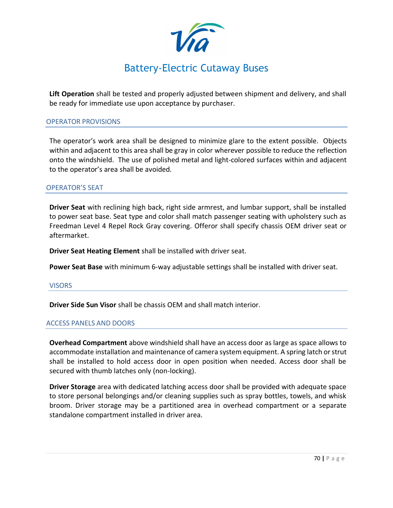

**Lift Operation** shall be tested and properly adjusted between shipment and delivery, and shall be ready for immediate use upon acceptance by purchaser.

### OPERATOR PROVISIONS

The operator's work area shall be designed to minimize glare to the extent possible. Objects within and adjacent to this area shall be gray in color wherever possible to reduce the reflection onto the windshield. The use of polished metal and light-colored surfaces within and adjacent to the operator's area shall be avoided.

### OPERATOR'S SEAT

**Driver Seat** with reclining high back, right side armrest, and lumbar support, shall be installed to power seat base. Seat type and color shall match passenger seating with upholstery such as Freedman Level 4 Repel Rock Gray covering. Offeror shall specify chassis OEM driver seat or aftermarket.

**Driver Seat Heating Element** shall be installed with driver seat.

**Power Seat Base** with minimum 6-way adjustable settings shall be installed with driver seat.

### VISORS

**Driver Side Sun Visor** shall be chassis OEM and shall match interior.

### ACCESS PANELS AND DOORS

**Overhead Compartment** above windshield shall have an access door as large as space allows to accommodate installation and maintenance of camera system equipment. A spring latch or strut shall be installed to hold access door in open position when needed. Access door shall be secured with thumb latches only (non-locking).

**Driver Storage** area with dedicated latching access door shall be provided with adequate space to store personal belongings and/or cleaning supplies such as spray bottles, towels, and whisk broom. Driver storage may be a partitioned area in overhead compartment or a separate standalone compartment installed in driver area.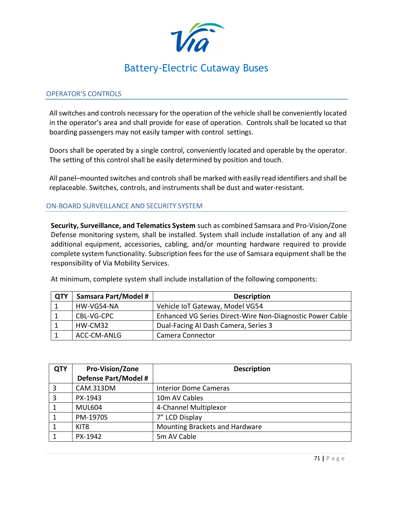

### OPERATOR'S CONTROLS

Allswitches and controls necessary forthe operation of the vehicle shall be conveniently located in the operator's area and shall provide for ease of operation. Controls shall be located so that boarding passengers may not easily tamper with control settings.

Doors shall be operated by a single control, conveniently located and operable by the operator. The setting of this control shall be easily determined by position and touch.

All panel–mounted switches and controls shall be marked with easily read identifiers and shall be replaceable. Switches, controls, and instruments shall be dust and water-resistant.

### ON-BOARD SURVEILLANCE AND SECURITY SYSTEM

**Security, Surveillance, and Telematics System** such as combined Samsara and Pro-Vision/Zone Defense monitoring system, shall be installed. System shall include installation of any and all additional equipment, accessories, cabling, and/or mounting hardware required to provide complete system functionality. Subscription fees for the use of Samsara equipment shall be the responsibility of Via Mobility Services.

At minimum, complete system shall include installation of the following components:

| <b>QTY</b> | <b>Samsara Part/Model #</b> | <b>Description</b>                                        |
|------------|-----------------------------|-----------------------------------------------------------|
|            | HW-VG54-NA                  | Vehicle IoT Gateway, Model VG54                           |
|            | CBL-VG-CPC                  | Enhanced VG Series Direct-Wire Non-Diagnostic Power Cable |
|            | HW-CM32                     | Dual-Facing AI Dash Camera, Series 3                      |
|            | ACC-CM-ANLG                 | Camera Connector                                          |

| <b>QTY</b>  | <b>Pro-Vision/Zone</b> | <b>Description</b>             |
|-------------|------------------------|--------------------------------|
|             | Defense Part/Model #   |                                |
| 3           | <b>CAM.313DM</b>       | <b>Interior Dome Cameras</b>   |
| 3           | PX-1943                | 10m AV Cables                  |
|             | <b>MUL604</b>          | 4-Channel Multiplexor          |
| $\mathbf 1$ | PM-1970S               | 7" LCD Display                 |
| 1           | KIT <sub>8</sub>       | Mounting Brackets and Hardware |
|             | PX-1942                | 5m AV Cable                    |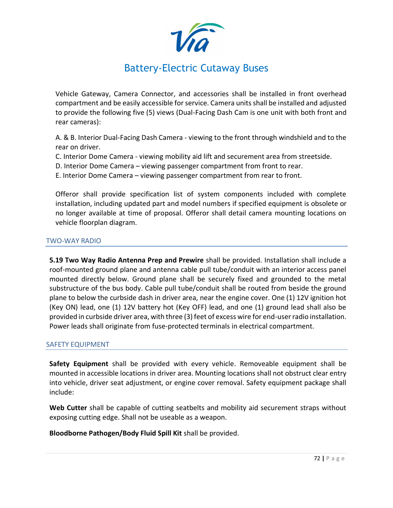

Vehicle Gateway, Camera Connector, and accessories shall be installed in front overhead compartment and be easily accessible for service. Camera units shall be installed and adjusted to provide the following five (5) views (Dual-Facing Dash Cam is one unit with both front and rear cameras):

A. & B. Interior Dual-Facing Dash Camera - viewing to the front through windshield and to the rear on driver.

C. Interior Dome Camera - viewing mobility aid lift and securement area from streetside.

D. Interior Dome Camera – viewing passenger compartment from front to rear.

E. Interior Dome Camera – viewing passenger compartment from rear to front.

Offeror shall provide specification list of system components included with complete installation, including updated part and model numbers if specified equipment is obsolete or no longer available at time of proposal. Offeror shall detail camera mounting locations on vehicle floorplan diagram.

### TWO-WAY RADIO

**5.19 Two Way Radio Antenna Prep and Prewire** shall be provided. Installation shall include a roof-mounted ground plane and antenna cable pull tube/conduit with an interior access panel mounted directly below. Ground plane shall be securely fixed and grounded to the metal substructure of the bus body. Cable pull tube/conduit shall be routed from beside the ground plane to below the curbside dash in driver area, near the engine cover. One (1) 12V ignition hot (Key ON) lead, one (1) 12V battery hot (Key OFF) lead, and one (1) ground lead shall also be provided in curbside driver area, with three (3) feet of excess wire for end-user radio installation. Power leads shall originate from fuse-protected terminals in electrical compartment.

### SAFETY EQUIPMENT

**Safety Equipment** shall be provided with every vehicle. Removeable equipment shall be mounted in accessible locations in driver area. Mounting locations shall not obstruct clear entry into vehicle, driver seat adjustment, or engine cover removal. Safety equipment package shall include:

**Web Cutter** shall be capable of cutting seatbelts and mobility aid securement straps without exposing cutting edge. Shall not be useable as a weapon.

**Bloodborne Pathogen/Body Fluid Spill Kit** shall be provided.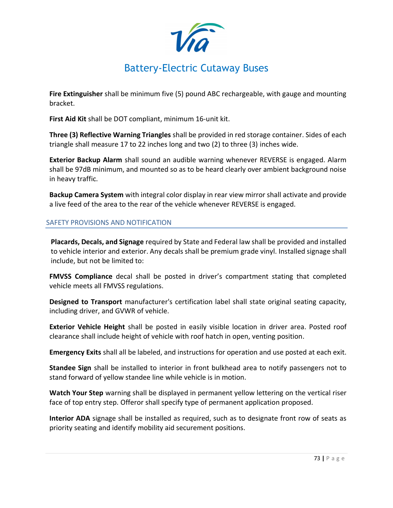**Fire Extinguisher** shall be minimum five (5) pound ABC rechargeable, with gauge and mounting bracket.

**First Aid Kit** shall be DOT compliant, minimum 16-unit kit.

**Three (3) Reflective Warning Triangles** shall be provided in red storage container. Sides of each triangle shall measure 17 to 22 inches long and two (2) to three (3) inches wide.

**Exterior Backup Alarm** shall sound an audible warning whenever REVERSE is engaged. Alarm shall be 97dB minimum, and mounted so as to be heard clearly over ambient background noise in heavy traffic.

**Backup Camera System** with integral color display in rear view mirror shall activate and provide a live feed of the area to the rear of the vehicle whenever REVERSE is engaged.

### SAFETY PROVISIONS AND NOTIFICATION

**Placards, Decals, and Signage** required by State and Federal law shall be provided and installed to vehicle interior and exterior. Any decals shall be premium grade vinyl. Installed signage shall include, but not be limited to:

**FMVSS Compliance** decal shall be posted in driver's compartment stating that completed vehicle meets all FMVSS regulations.

**Designed to Transport** manufacturer's certification label shall state original seating capacity, including driver, and GVWR of vehicle.

**Exterior Vehicle Height** shall be posted in easily visible location in driver area. Posted roof clearance shall include height of vehicle with roof hatch in open, venting position.

**Emergency Exits** shall all be labeled, and instructions for operation and use posted at each exit.

**Standee Sign** shall be installed to interior in front bulkhead area to notify passengers not to stand forward of yellow standee line while vehicle is in motion.

**Watch Your Step** warning shall be displayed in permanent yellow lettering on the vertical riser face of top entry step. Offeror shall specify type of permanent application proposed.

**Interior ADA** signage shall be installed as required, such as to designate front row of seats as priority seating and identify mobility aid securement positions.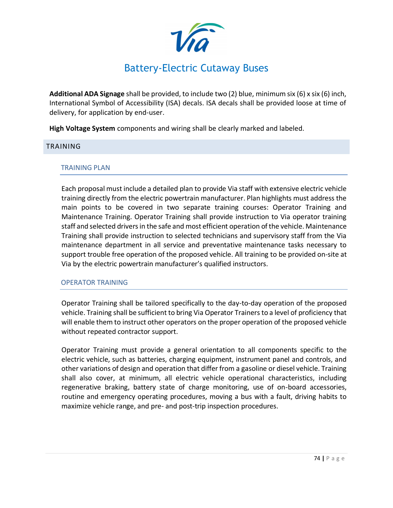**Additional ADA Signage** shall be provided, to include two (2) blue, minimum six (6) x six (6) inch, International Symbol of Accessibility (ISA) decals. ISA decals shall be provided loose at time of delivery, for application by end-user.

**High Voltage System** components and wiring shall be clearly marked and labeled.

### <span id="page-68-0"></span>TRAINING

### TRAINING PLAN

Each proposal must include a detailed plan to provide Via staff with extensive electric vehicle training directly from the electric powertrain manufacturer. Plan highlights must address the main points to be covered in two separate training courses: Operator Training and Maintenance Training. Operator Training shall provide instruction to Via operator training staff and selected drivers in the safe and most efficient operation of the vehicle. Maintenance Training shall provide instruction to selected technicians and supervisory staff from the Via maintenance department in all service and preventative maintenance tasks necessary to support trouble free operation of the proposed vehicle. All training to be provided on-site at Via by the electric powertrain manufacturer's qualified instructors.

### OPERATOR TRAINING

Operator Training shall be tailored specifically to the day-to-day operation of the proposed vehicle. Training shall be sufficient to bring Via Operator Trainers to a level of proficiency that will enable them to instruct other operators on the proper operation of the proposed vehicle without repeated contractor support.

Operator Training must provide a general orientation to all components specific to the electric vehicle, such as batteries, charging equipment, instrument panel and controls, and other variations of design and operation that differ from a gasoline or diesel vehicle. Training shall also cover, at minimum, all electric vehicle operational characteristics, including regenerative braking, battery state of charge monitoring, use of on-board accessories, routine and emergency operating procedures, moving a bus with a fault, driving habits to maximize vehicle range, and pre- and post-trip inspection procedures.